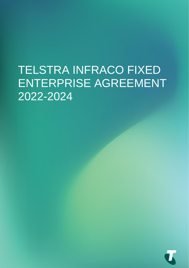# TELSTRA INFRACO FIXED ENTERPRISE AGREEMENT 2022-2024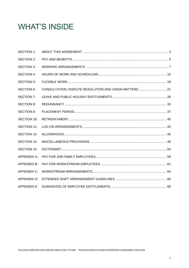## **WHAT'S INSIDE**

| <b>SECTION 1:</b>  |  |
|--------------------|--|
| SECTION 2:         |  |
| <b>SECTION 3:</b>  |  |
| <b>SECTION 4:</b>  |  |
| <b>SECTION 5:</b>  |  |
| <b>SECTION 6:</b>  |  |
| SECTION 7:         |  |
| <b>SECTION 8:</b>  |  |
| <b>SECTION 9:</b>  |  |
| <b>SECTION 10:</b> |  |
| SECTION 11:        |  |
| <b>SECTION 12:</b> |  |
| <b>SECTION 13:</b> |  |
| <b>SECTION 14:</b> |  |
| APPENDIX A:        |  |
| APPENDIX B:        |  |
| APPENDIX C:        |  |
| APPENDIX D:        |  |
| APPENDIX E:        |  |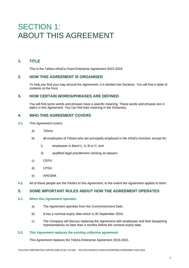## SECTION 1: ABOUT THIS AGREEMENT

## **1. TITLE**

This is the Telstra InfraCo Fixed Enterprise Agreement 2022-2024.

## **2. HOW THIS AGREEMENT IS ORGANISED**

To help *you* find your way around the *Agreement*, it is divided into Sections. *You* will find a table of contents at the front.

## **3. HOW CERTAIN WORDS/PHRASES ARE DEFINED**

*You* will find some words and phrases have a specific meaning. These words and phrases are in *italics* in this *Agreement*. *You* can find their meaning in the Dictionary.

### **4. WHO THIS AGREEMENT COVERS**

- **4.1.** This *Agreement* covers:
	- a) *Telstra*
	- b) all employees of *Telstra* who are principally employed in the InfraCo function, except for:
		- i) employees in *Band* 1, A, B or C; and
		- ii) qualified legal practitioners working as lawyers
	- c) *CEPU*
	- d) *CPSU*
	- e) *APESMA*
- **4.2.** All of these people are the *Parties* to this *Agreement*, to the extent the *Agreement* applies to them.

## **5. SOME IMPORTANT RULES ABOUT HOW THE AGREEMENT OPERATES**

#### **5.1. When this Agreement operates**

- a) The Agreement operates from the *Commencement Date*.
- b) It has a nominal expiry date which is 30 September 2024.
- c) *The Company* will discuss replacing the *Agreement* with employees and their bargaining representatives no later than 4 months before the nominal expiry date.

#### **5.2. This Agreement replaces the existing collective agreement**

This *Agreement* replaces the Telstra Enterprise Agreement 2019-2021.

TELSTRA CORPORATION LIMITED (ABN 33 051 775 556) TELSTRA INFRACO FIXED ENTERPRISE AGREEMENT 2022-2024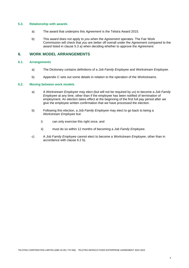#### **5.3. Relationship with awards**

- a) The award that underpins this *Agreement* is the Telstra Award 2015.
- b) This award does not apply to *you* when the *Agreement* operates. The Fair Work Commission will check that *you* are better off overall under the *Agreement* compared to the award listed in clause 5.3 a) when deciding whether to approve the *Agreement*.

## **6. WORK MODEL ARRANGEMENTS**

#### **6.1. Arrangements**

- a) The Dictionary contains definitions of a *Job Family Employee* and *Workstream Employee*.
- b) Appendix C sets out some details in relation to the operation of the *Workstreams*.

#### **6.2. Moving between work models**

- a) A *Workstream Employee* may elect (but will not be required by *us*) to become a *Job Family Employee* at any time, other than if the employee has been notified of termination of employment. An election takes effect at the beginning of the first full pay period after *we*  give the employee written confirmation that *we* have processed the election.
- b) Following this election, a *Job Family Employee* may elect to go back to being a *Workstream Employee* but:
	- i) can only exercise this right once, and
	- ii) must do so within 12 months of becoming a *Job Family Employee*.
- c) A *Job Family Employee* cannot elect to become a *Workstream Employee*, other than in accordance with clause 6.2 b).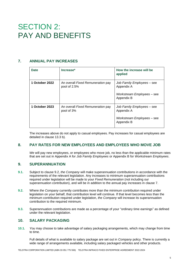## SECTION 2: PAY AND BENEFITS

## **7. ANNUAL PAY INCREASES**

| Date           | Increase*                                         | How the increase will be<br>applied                                                  |  |  |
|----------------|---------------------------------------------------|--------------------------------------------------------------------------------------|--|--|
| 1 October 2022 | An overall Fixed Remuneration pay<br>pool of 2.5% | Job Family Employees – see<br>Appendix A<br>Workstream Employees – see<br>Appendix B |  |  |
| 1 October 2023 | An overall Fixed Remuneration pay<br>pool of 3%   | Job Family Employees – see<br>Appendix A<br>Workstream Employees - see<br>Appendix B |  |  |

The increases above do not apply to casual employees. Pay increases for casual employees are detailed in clause 13.3 b).

## **8. PAY RATES FOR NEW EMPLOYEES AND EMPLOYEES WHO MOVE JOB**

*We* will pay new employees, or employees who move job, no less than the applicable minimum rates that are set out in Appendix A for *Job Family Employees* or Appendix B for *Workstream Employees*.

## **9. SUPERANNUATION**

- **9.1.** Subject to clause 9.2, *the Company* will make superannuation contributions in accordance with the requirements of the relevant legislation. Any increases to minimum superannuation contributions required under legislation will be made to your *Fixed Remuneration* (not including our superannuation contribution), and will be in addition to the annual pay increases in clause 7.
- **9.2.** Where *the Company* currently contributes more than the minimum contribution required under legislation on your behalf, that contribution level will continue. If that level becomes less than the minimum contribution required under legislation, *the Company* will increase its superannuation contribution to the required minimum.
- **9.3.** Superannuation contributions are made as a percentage of your "ordinary time earnings" as defined under the relevant legislation.

## **10. SALARY PACKAGING**

**10.1.** *You* may choose to take advantage of salary packaging arrangements, which may change from time to time.

Full details of what is available to salary package are set out in *Company* policy. There is currently a wide range of arrangements available, including salary packaged vehicles and other products.

TELSTRA CORPORATION LIMITED (ABN 33 051 775 556) TELSTRA INFRACO FIXED ENTERPRISE AGREEMENT 2022-2024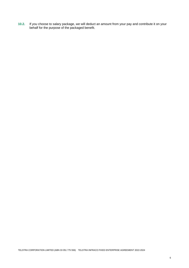**10.2.** If *you* choose to salary package, *we* will deduct an amount from your pay and contribute it on your behalf for the purpose of the packaged benefit.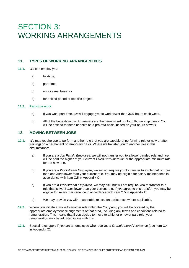## SECTION 3: WORKING ARRANGEMENTS

## **11. TYPES OF WORKING ARRANGEMENTS**

- **11.1.** *We* can employ *you*:
	- a) full-time;
	- b) part-time;
	- c) on a casual basis; or
	- d) for a fixed period or specific project.

#### **11.2. Part-time work**

- a) If *you* work part-time, *we* will engage *you* to work fewer than 36¾ hours each week.
- b) All of the benefits in this *Agreement* are the benefits set out for full-time employees. *You* will be entitled to these benefits on a pro rata basis, based on your hours of work.

### **12. MOVING BETWEEN JOBS**

- **12.1.** *We* may require *you* to perform another role that *you* are capable of performing (either now or after training) on a permanent or temporary basis. Where *we* transfer *you* to another role in this circumstance:
	- a) If *you* are a *Job Family Employee*, *we* will not transfer *you* to a lower banded role and *you* will be paid the higher of your current *Fixed Remuneration* or the appropriate minimum rate for the new role.
	- b) If *you* are a *Workstream Employee*, *we* will not require *you* to transfer to a role that is more than one *band* lower than your current role. *You* may be eligible for salary maintenance in accordance with item C.5 in Appendix C.
	- c) If *you* are a *Workstream Employee*, *we* may ask, but will not require, *you* to transfer to a role that is two *Bands* lower than your current role. If *you* agree to this transfer, *you* may be eligible for salary maintenance in accordance with item C.5 in Appendix C.
	- d) *We* may provide *you* with reasonable relocation assistance, where applicable.
- **12.2.** Where *you* initiate a move to another role within the *Company*, *you* will be covered by the appropriate employment arrangements of that area, including any terms and conditions related to remuneration. This means that if *you* decide to move to a higher or lower paid role, your remuneration may be adjusted in line with this.
- **12.3.** Special rules apply if *you* are an employee who receives a *Grandfathered Allowance* (see item C.4 in Appendix C).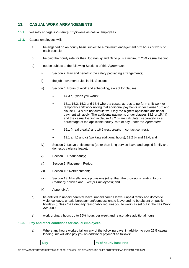## **13. CASUAL WORK ARRANGEMENTS**

- **13.1.** W*e* may engage *Job Family Employees* as casual employees.
- **13.2.** Casual employees will:
	- a) be engaged on an hourly basis subject to a minimum engagement of 2 hours of work on each occasion;
	- b) be paid the hourly rate for their *Job Family* and *Band* plus a minimum 25% casual loading;
	- c) not be subject to the following Sections of this *Agreement*:
		- i) Section 2: Pay and benefits: the salary packaging arrangements;
		- ii) the job movement rules in this Section;
		- iii) Section 4: Hours of work and scheduling, except for clauses:
			- $14.3$  a) (when you work);
			- 15.1, 15.2, 15.3 and 15.4 where a casual agrees to perform shift work or temporary shift work noting that additional payments under clause 13.3 and clause 15.4 f) are not cumulative. Only the highest applicable additional payment will apply. The additional payments under clauses 13.3 or 15.4 f) and the casual loading in clause 13.2 b) are calculated separately as a percentage of the applicable hourly rate of pay under the *Agreement*;
			- 16.1 (meal breaks) and 16.2 (rest breaks in contact centres);
			- 19.1 a), b) and c) (working additional hours); 19.2 b) and 19.4; and
		- iv) Section 7: Leave entitlements (other than long service leave and unpaid family and domestic violence leave);
		- v) Section 8: Redundancy;
		- vi) Section 9: Placement Period;
		- vii) Section 10: Retrenchment;
		- viii) Section 13: Miscellaneous provisions (other than the provisions relating to *our Company* policies and *Exempt Employees*); and
		- ix) Appendix A;
	- d) be entitled to unpaid parental leave, unpaid carer's leave, unpaid family and domestic violence leave, unpaid bereavement/compassionate leave and to be absent on public holidays (unless *the Company* reasonably requires *you* to work) as set out in the Fair Work Act 2009;
	- e) work ordinary hours up to 36¾ hours per week and reasonable additional hours.

#### **13.3. Pay and other conditions for casual employees**

a) Where any hours worked fall on any of the following days, in addition to your 25% casual loading, *we* will also pay *you* an additional payment as follows:

| Day | % of hourly base rate |
|-----|-----------------------|
|     |                       |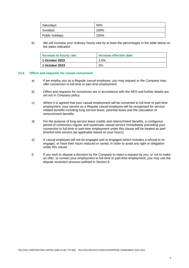| Saturdays       | 50%  |
|-----------------|------|
| Sundays         | 100% |
| Public holidays | 150% |

b) *We* will increase your ordinary hourly rate by at least the percentages in the table below on the dates indicated:

| Increase to hourly rate | Increase effective date |  |  |
|-------------------------|-------------------------|--|--|
| 1 October 2022          | 2.5%                    |  |  |
| 1 October 2023          | 3%                      |  |  |

#### **13.4. Offers and requests for casual conversion**

- a) If *we* employ *you* as a *Regular casual employee*, *you* may request or *the Company* may offer conversion to full-time or part-time employment.
- b) Offers and requests for conversion are in accordance with the *NES* and further details are set out in *Company* policy.
- c) Where it is agreed that your casual employment will be converted to full-time or part-time employment, your service as a *Regular casual employee* will be recognised for servicerelated benefits including long service leave, parental leave and the calculation of retrenchment benefits.
- d) For the purpose of long service leave credits and retrenchment benefits, a contiguous period of continuous regular and systematic casual service immediately preceding your conversion to full-time or part-time employment under this clause will be treated as parttime/full-time service (as applicable based on your hours).
- e) A casual employee will not be engaged and re-engaged (which includes a refusal to reengage), or have their hours reduced or varied, in order to avoid any right or obligation under this clause.
- f) If *you* wish to dispute a decision by *the Company* to reject a request by *you*, or not to make an offer, to convert your employment to full-time or part-time employment, *you* may use the dispute resolution process outlined in Section 6.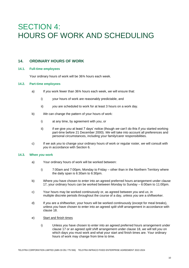## SECTION 4: HOURS OF WORK AND SCHEDULING

## **14. ORDINARY HOURS OF WORK**

#### **14.1. Full-time employees**

Your ordinary hours of work will be 36¾ hours each week.

#### **14.2. Part-time employees**

- a) If *you* work fewer than 36¾ hours each week, *we* will ensure that:
	- i) your hours of work are reasonably predictable, and
	- ii) *you* are scheduled to work for at least 3 hours on a work day.
- b) *We* can change the pattern of your hours of work:
	- i) at any time, by agreement with *you*, or
	- ii) if *we* give *you* at least 7 days' notice (though *we* can't do this if *you* started working part-time before 21 December 2000). *We* will take into account all preferences and personal circumstances, including your family/carer responsibilities.
- c) If *we* ask *you* to change your ordinary hours of work or regular roster, *we* will consult with *you* in accordance with Section 6.

#### **14.3. When** *you* **work**

- a) Your ordinary hours of work will be worked between:
	- i) 7:00am and 7:00pm, Monday to Friday other than in the Northern Territory where the daily span is 6:30am to 6:30pm.
- b) Where *you* have chosen to enter into an agreed preferred hours arrangement under clause 17, your ordinary hours can be worked between Monday to Sunday – 6:00am to 11:00pm.
- c) Your hours may be worked continuously or, as agreed between *you* and *us*, in multiple discrete periods throughout the course of a day, unless *you* are a shiftworker.
- d) If *you* are a shiftworker, your hours will be worked continuously (except for meal breaks), unless *you* have chosen to enter into an agreed *split shift* arrangement in accordance with clause 18.
- e) Start and finish times
	- i) Unless *you* have chosen to enter into an agreed preferred hours arrangement under clause 17 or an agreed *split shift* arrangement under clause 18, *we* will tell *you* on which days *you* must work and what your start and finish times are. Your ordinary hours of work may change from time to time.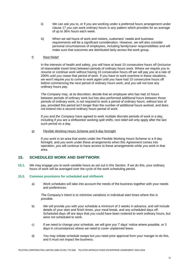- ii) *We* can ask *you* to, or if *you* are working under a preferred hours arrangement under clause 17 *you* can work ordinary hours in any pattern which provides for an average of up to 36¾ hours each week.
- iii) When *we* set hours of work and rosters, customers' needs and business requirements will be a significant consideration. However, *we* will also consider personal circumstances of employees, including family/carer responsibilities and will make sure that outcomes are distributed fairly across the work group.

#### f) Rest Relief

In the interests of health and safety, *you* will have at least 10 consecutive hours off (inclusive of reasonable travel time) between periods of ordinary hours work. Where *we* require *you* to resume or continue work without having 10 consecutive hours off *we* will pay *you* at a rate of 200% until *you* cease that period of work. If *you* have to work overtime in these situations, *we* won't require *you* to come to work again until *you* have had 10 consecutive hours off before commencing the next period of ordinary hours work, and *you* will not lose any ordinary hours pay.

*The Company* may, at its discretion, decide that an employee who has had 10 hours between periods of ordinary work but has also performed additional hours between those periods of ordinary work, is not required to work a period of ordinary hours, without loss of pay, provided this period isn't longer than the number of additional hours worked, and does not extend into a second ordinary hours period of work.

If *you* and *the Company* have agreed to work multiple discrete periods of work in a day, including if *you* are a shiftworker working *split shifts*, rest relief will only apply after the last such period on a day.

#### g) Flexible Working Hours Scheme and 9-day fortnight

If *you* work in an area that works under the Flexible Working Hours Scheme or a 9 day fortnight, and *you* work under these arrangements when this *Agreement* comes into operation, *you* will continue to have access to these arrangements while *you* work in that area.

## **15. SCHEDULED WORK AND SHIFTWORK**

**15.1.** *We* may engage *you* to work variable hours as set out in this Section. If *we* do this, your ordinary hours of work will be averaged over the cycle of the work scheduling period.

#### **15.2. Common provisions for scheduled and shiftwork**

a) Work schedules will take into account the needs of the business together with your needs and preferences.

*The Company's* intent is to minimise variations in individual start times where this is possible.

- b) *We* will provide *you* with your schedule a minimum of 2 weeks in advance, and will include details of your start and finish times, your meal break, and any scheduled days off. Scheduled days off are days that *you* could have been rostered to work ordinary hours, but were not scheduled to work.
- c) If *we* need to change your schedule, *we* will give *you* 7 days' notice where possible, or 3 days in circumstances where *we* need to cover unplanned leave.
- d) *You* may initiate schedule swaps but *you* need prior approval from your manger to do this, and it must not impact the business.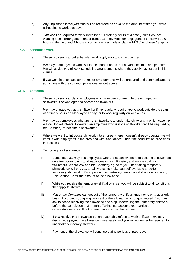- e) Any unplanned leave *you* take will be recorded as equal to the amount of time *you* were scheduled to work that day.
- f) *You* won't be required to work more than 10 ordinary hours at a time (unless *you* are working a shift arrangement under clause 15.4 g). Minimum engagement times will be 6 hours in the field and 4 hours in contact centres, unless clause 14.3 c) or clause 18 apply.

#### **15.3. Scheduled work**

- a) These provisions about scheduled work apply only to contact centres.
- b) *We* may require *you* to work within the span of hours, but at variable times and patterns. *We* will advise *you* of work scheduling arrangements where they apply, as set out in this clause.
- c) If *you* work in a contact centre, roster arrangements will be prepared and communicated to *you* in line with the common provisions set out above.

#### **15.4. Shiftwork**

- a) These provisions apply to employees who have been or are in future engaged as shiftworkers or who agree to become shiftworkers.
- b) *We* may engage *you* as a shiftworker if *we* regularly require *you* to work outside the span of ordinary hours on Monday to Friday, or to work regularly on weekends.
- c) *We* may ask employees who are not shiftworkers to undertake shiftwork, in which case *we*  will call for volunteers. However, an employee who is not a shiftworker can't be required by *the Company* to become a shiftworker.
- d) Where *we* want to introduce shiftwork into an area where it doesn't already operate, *we* will consult with employees in the area and with *The Unions*, under the consultation provisions in Section 6.

#### e) Temporary shift allowance

- i) Sometimes *we* may ask employees who are not shiftworkers to become shiftworkers on a temporary basis to fill vacancies on a shift roster, and *we* may call for volunteers. Where *you* and *the Company* agree to *you* undertaking temporary shiftwork *we* will pay *you* an allowance to make yourself available to perform temporary shift work. Participation in undertaking temporary shiftwork is voluntary. See Section 12 for the amount of the allowance.
- ii) While *you* receive the temporary shift allowance, *you* will be subject to all conditions that apply to shiftwork.
- iii) *You* or *the Company* can opt out of the temporary shift arrangements on a quarterly basis. Accordingly, ongoing payment of the allowance is not guaranteed. *You* may ask to cease receiving the allowance and stop undertaking the temporary shiftwork before the completion of 3 months. Taking into account your particular circumstances, *we* will not unreasonably refuse the request.
- iv) If *you* receive this allowance but unreasonably refuse to work shiftwork, *we* may discontinue paying the allowance immediately and *you* will no longer be required to undertake temporary shiftwork.
- v) Payment of the allowance will continue during periods of paid leave.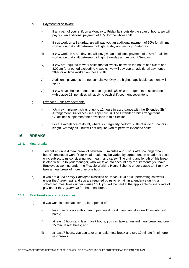#### f) Payment for shiftwork

- i) If any part of your shift on a Monday to Friday falls outside the span of hours, *we* will pay *you* an additional payment of 15% for the whole shift.
- ii) If *you* work on a Saturday, *we* will pay *you* an additional payment of 50% for all time worked on that shift between midnight Friday and midnight Saturday.
- iii) If *you* work on a Sunday, *we* will pay *you* an additional payment of 100% for all time worked on that shift between midnight Saturday and midnight Sunday.
- iv) If *you* are required to work shifts that fall wholly between the hours of 6:00pm and 8:00am for a period exceeding 4 weeks, *we* will pay *you* an additional payment of 30% for all time worked on those shifts.
- v) Additional payments are not cumulative. Only the highest applicable payment will apply.
- vi) If *you* have chosen to enter into an agreed *split shift* arrangement in accordance with clause 18, penalties will apply to each shift segment separately.

#### g) Extended Shift Arrangements

- i) *We* may implement shifts of up to 12 hours in accordance with the Extended Shift Arrangement Guidelines (see Appendix D). The Extended Shift Arrangement Guidelines supplement the provisions in this Section.
- ii) For the avoidance of doubt, where *you* regularly perform shifts of up to 10 hours in length, *we* may ask, but will not require, *you* to perform extended shifts.

## **16. BREAKS**

#### **16.1. Meal breaks**

- a) *You* get an unpaid meal break of between 30 minutes and 1 hour after no longer than 5 hours' continuous work. Your meal break may be varied by agreement on an ad hoc basis only, subject to *us* considering your health and safety. The timing and length of this break is otherwise up to your manager, who will take into account any requirements *you* have. Employees working under the Flexible Working Hours Scheme under clause 14.3 g) may take a meal break of more than one hour.
- b) If *you* are a *Job Family Employee* classified at *Band*s 3ii, 4i or 4ii, performing shiftwork under the *Agreement,* and *you* are required by *us* to remain in attendance during a scheduled meal break under clause 16.1, *you* will be paid at the applicable ordinary rate of pay under the *Agreement* for that meal break.

### **16.2. Rest breaks in contact centres**

- a) If *you* work in a contact centre, for a period of:
	- i) less than 5 hours without an unpaid meal break, *you* can take one 15 minute rest break;
	- ii) at least 5 hours and less than 7 hours, *you* can take an unpaid meal break and one 15 minute rest break; and
	- iii) at least 7 hours, *you* can take an unpaid meal break and two 10 minute (minimum) rest breaks.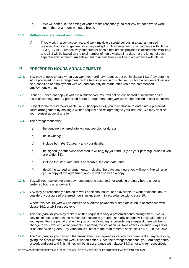b) *We* will schedule the timing of your breaks reasonably, so that *you* do not have to work more than 2-3 hours without a break.

#### **16.3. Multiple discrete period rest breaks**

a) If you work in a contact centre, and work multiple discrete periods in a day, an agreed preferred hours arrangement, or an agreed split shift arrangement, in accordance with clause 14.3 c), 17 or 18 respectively, the number of paid rest breaks provided in accordance with 16.2 and 16.3 will be based on the total number of hours worked in a day, not the length of each separate shift segment. An entitlement to unpaid breaks will be in accordance with clause 16.1.

## **17. PREFERRED HOURS ARRANGEMENTS**

- **17.1.** *You* may choose to vary when *you* work your ordinary hours as set out in clause 14.3 b) by entering into a preferred hours arrangement on the terms set out in this clause. Such an arrangement will not be a condition of employment with *us*, and can only be made after *you* have commenced employment with *us*.
- **17.2.** Clause 17 does not apply if *you* are a shiftworker. *You* will not be considered a shiftworker as a result of working under a preferred hours arrangement, and *you* will not be entitled to shift penalties.
- **17.3.** Subject to the requirements of clause 22 (if applicable), *you* may choose to enter into a preferred hours arrangement by making a written request and *us* agreeing to your request. *We* may decline your request at *our* discretion.
- **17.4.** The arrangement must:
	- a) be genuinely entered into without coercion or duress;
	- b) be in writing;
	- c) include both *the Company* and your details;
	- d) be signed (or otherwise accepted in writing) by *you* and *us* (and your parent/guardian if *you* are under 18);
	- e) include the start date and, if applicable, the end date; and
	- f) detail the agreed arrangements, including the days and hours *you* will work. *We* will give *you* a copy of the agreement and *we* will also keep a copy.
- **17.5.** *You* will not receive overtime payments under clause 19.2 for working ordinary hours under a preferred hours arrangement.
- **17.6.** *You* may be reasonably directed to work additional hours, or be available to work additional hours outside of your agreed preferred hours arrangement, in accordance with clause 19.

Where this occurs, *you* will be entitled to overtime payments or time off in lieu in accordance with clause 19.2 or 19.3 respectively.

- **17.7.** *The Company* or *you* may make a written request to vary a preferred hours arrangement. *We* will only make such a request on reasonable business grounds, and any change will only take effect if *you* agree. For the period that either *you* or *the Company* is considering a request there will be no change to your working arrangements. If agreed, the variation will take effect 7 calendar days later or as otherwise agreed. Any variation is subject to the requirements of clause  $17.4$  a) – f) inclusive.
- **17.8.** *The Company* or *you* can end the arrangement (as agreed or varied) by agreement at any time or by giving the other person four weeks' written notice. Once the arrangement ends, your ordinary hours of work and start and finish times will be in accordance with clause 14.3 a), c) and e), respectively.

TELSTRA CORPORATION LIMITED (ABN 33 051 775 556) TELSTRA INFRACO FIXED ENTERPRISE AGREEMENT 2022-2024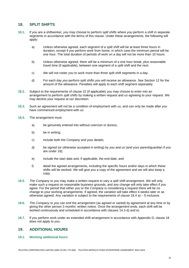## **18. SPLIT SHIFTS**

- **18.1.** If *you* are a shiftworker, *you* may choose to perform *split shifts* where *you* perform a shift in separate segments in accordance with the terms of this clause. Under these arrangements, the following will apply:
	- a) Unless otherwise agreed, each segment of a *split shift* will be at least three hours in duration, except if *you* perform work from home, in which case the minimum period will be one hour. The total duration of periods of work on a day will not be more than 10 hours.
	- b) Unless otherwise agreed, there will be a minimum of a one hour break, plus reasonable travel time (if applicable), between one segment of a *split shift* and the next.
	- c) *We* will not roster *you* to work more than three *split shift* segments in a day.
	- d) For each day *you* perform *split shifts you* will receive an allowance. See Section 12 for the amount of the allowance. Penalties will apply to each shift segment separately.
- **18.2.** Subject to the requirements of clause 22 (if applicable) *you* may choose to enter into an arrangement to perform *split shifts* by making a written request and *us* agreeing to your request. *We* may decline your request at *our* discretion.
- **18.3.** Such an agreement will not be a condition of employment with *us*, and can only be made after *you* have commenced employment with *us*.
- **18.4.** The arrangement must:
	- a) be genuinely entered into without coercion or duress;
	- b) be in writing;
	- c) include both *the Company* and your details;
	- d) be signed (or otherwise accepted in writing) by *you* and *us* (and your parent/guardian if *you* are under 18);
	- e) include the start date and, if applicable, the end date; and
	- f) detail the agreed arrangements, including the specific hours and/or days in which these shifts will be worked. *We* will give *you* a copy of the agreement and *we* will also keep a copy.
- **18.5.** *The Company* or *you* may make a written request to vary a *split shift* arrangement. *We* will only make such a request on reasonable business grounds, and any change will only take effect if *you* agree. For the period that either *you* or *the Company* is considering a request there will be no change to your working arrangements. If agreed, the variation will take effect 4 weeks later or as otherwise agreed. Any variation is subject to the requirements of clause  $18.4$  a) – f) inclusive.
- **18.6.** *The Company* or *you* can end the arrangement (as agreed or varied) by agreement at any time or by giving the other person 3 months' written notice. Once the arrangement ends, each shift will be worked continuously and scheduled in accordance with clauses 14.3 d) and e).
- **18.7.** If *you* perform work under an extended shift arrangement in accordance with Appendix D, clause 18 does not apply to *you*.

## **19. ADDITIONAL HOURS**

#### **19.1. Working additional hours**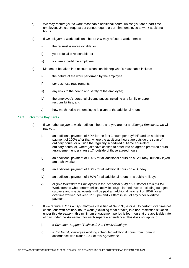- a) *We* may require *you* to work reasonable additional hours, unless *you* are a part-time employee. *We* can request but cannot require a part-time employee to work additional hours.
- b) If *we* ask *you* to work additional hours *you* may refuse to work them if:
	- i) the request is unreasonable; or
	- ii) your refusal is reasonable; or
	- iii) *you* are a part-time employee
- c) Matters to be taken into account when considering what's reasonable include:
	- i) the nature of the work performed by the employee;
	- ii) *our* business requirements:
	- iii) any risks to the health and safety of the employee;
	- iv) the employee's personal circumstances, including any family or carer responsibilities; and
	- v) how much notice the employee is given of the additional hours.

#### **19.2. Overtime Payments**

- a) If *we* authorise *you* to work additional hours and *you* are not an *Exempt Employee*, *we* will pay *you*:
	- i) an additional payment of 50% for the first 3 hours per day/shift and an additional payment of 100% after that, where the additional hours are outside the span of ordinary hours, or outside the regularly scheduled full-time equivalent ordinary hours, or, where *you* have chosen to enter into an agreed preferred hours arrangement under clause 17, outside of those agreed hours;
	- ii) an additional payment of 100% for all additional hours on a Saturday, but only if *you* are a shiftworker;
	- iii) an additional payment of 100% for all additional hours on a Sunday;
	- iv) an additional payment of 150% for all additional hours on a public holiday;
	- v) eligible *Workstream Employees* in the *Technical (TW)* or *Customer Field (CFW)* Workstreams who perform critical activities (e.g. planned events including outages, cutovers and special events) will be paid an additional payment of 100% for all overtime worked between 11:00pm and 7:00am in lieu of any other overtime payment.
- b) If we require a *Job Family Employee* classified at *Band* 3ii, 4i or 4ii, to perform overtime not continuous with ordinary hours work (excluding meal breaks) in a non-restriction situation under this *Agreement*, this minimum engagement period is four hours at the applicable rate of pay under the *Agreement* for each separate attendance. This does not apply to:
	- i) a *Customer Support (Technical) Job Family Employee*;
	- ii) a *Job Family Employee* working scheduled additional hours from home in accordance with clause 19.4 of this *Agreement*;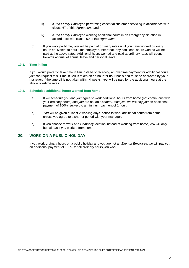- iii) a *Job Family Employee* performing essential customer servicing in accordance with clause 67 of this *Agreement*; and
- iv) a *Job Family Employee* working additional hours in an emergency situation in accordance with clause 69 of this *Agreement*.
- c) If *you* work part-time, *you* will be paid at ordinary rates until *you* have worked ordinary hours equivalent to a full-time employee. After that, any additional hours worked will be paid at the above rates. Additional hours worked and paid at ordinary rates will count towards accrual of annual leave and personal leave.

#### **19.3. Time in lieu**

If *you* would prefer to take time in lieu instead of receiving an overtime payment for additional hours, *you* can request this. Time in lieu is taken on an hour for hour basis and must be approved by your manager. If the time off is not taken within 4 weeks, *you* will be paid for the additional hours at the above overtime rates.

#### **19.4. Scheduled additional hours worked from home**

- a) If *we* schedule *you* and *you* agree to work additional hours from home (not continuous with your ordinary hours) and *you* are not an *Exempt Employee*, *we* will pay *you* an additional payment of 100%, subject to a minimum payment of 1 hour.
- b) *You* will be given at least 2 working days' notice to work additional hours from home, unless *you* agree to a shorter period with your manager.
- c) If *you* choose to work at a *Company* location instead of working from home, *you* will only be paid as if *you* worked from home.

## **20. WORK ON A PUBLIC HOLIDAY**

If *you* work ordinary hours on a public holiday and *you* are not an *Exempt Employee*, *we* will pay *you* an additional payment of 150% for all ordinary hours *you* work.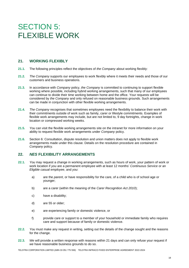## SECTION 5: FLEXIBLE WORK

## **21. WORKING FLEXIBLY**

- **21.1.** The following principles reflect the objectives of *the Company* about working flexibly:
- **21.2.** *The Company* supports our employees to work flexibly where it meets their needs and those of our customers and business operations.
- **21.3.** In accordance with *Company* policy, *the Company* is committed to continuing to support flexible working where possible, including hybrid working arrangements, such that many of our employees can continue to divide their time working between home and the office. Your requests will be considered by *the Company* and only refused on reasonable business grounds. Such arrangements can be made in conjunction with other flexible working arrangements.
- **21.4.** *The Company* recognises that sometimes employees need the flexibility to balance their work with their commitments outside of work such as family, carer or lifestyle commitments. Examples of flexible work arrangements may include, but are not limited to, 9 day fortnights, change in work location or compressed working weeks.
- **21.5.** *You* can visit the flexible working arrangements site on the intranet for more information on your ability to request flexible work arrangements under *Company* policy.
- **21.6.** Section 6: Consultation, dispute resolution and union matters does not apply to flexible work arrangements made under this clause. Details on the resolution procedure are contained in *Company* policy.

## **22.** *NES* **FLEXIBILITY ARRANGEMENTS**

- **22.1.** *You* may request a change in working arrangements, such as hours of work, your pattern of work or work location if *you* are a permanent employee with at least 12 months' *Continuous Service* or an *Eligible casual employee*, and *you*:
	- a) are the *parent*, or have responsibility for the care, of a child who is of school age or younger;
	- b) are a carer (within the meaning of the *Carer Recognition Act 2010*);
	- c) have a disability;
	- d) are 55 or older;
	- e) are experiencing family or domestic violence, or
	- f) provide care or support to a member of your household or immediate family who requires care and support because of family or domestic violence.
- **22.2.** *You* must make any request in writing, setting out the details of the change sought and the reasons for the change.
- **22.3.** *We* will provide a written response with reasons within 21 days and can only refuse your request if *we* have reasonable business grounds to do so.

TELSTRA CORPORATION LIMITED (ABN 33 051 775 556) TELSTRA INFRACO FIXED ENTERPRISE AGREEMENT 2022-2024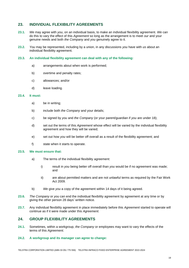## **23. INDIVIDUAL FLEXIBILITY AGREEMENTS**

- **23.1.** *We* may agree with *you*, on an individual basis, to make an individual flexibility agreement. *We* can do this to vary the effect of this *Agreement* so long as the arrangement is to meet *our* and your genuine needs and both *the Company* and *you* genuinely agree to it.
- **23.2.** *You* may be represented, including by a union, in any discussions *you* have with *us* about an individual flexibility agreement.

#### **23.3. An individual flexibility agreement can deal with any of the following:**

- a) arrangements about when work is performed;
- b) overtime and penalty rates;
- c) allowances; and/or
- d) leave loading.

#### **23.4. It must:**

- a) be in writing;
- b) include both *the Company* and your details;
- c) be signed by *you* and *the Company* (or your parent/guardian if *you* are under 18);
- d) set out the terms of this *Agreement* whose effect will be varied by the individual flexibility agreement and how they will be varied;
- e) set out how *you* will be better off overall as a result of the flexibility agreement; and
- f) state when it starts to operate.

### **23.5. We must ensure that:**

- a) The terms of the individual flexibility agreement:
	- i) result in *you* being better off overall than *you* would be if no agreement was made; and
	- ii) are about permitted matters and are not unlawful terms as required by the Fair Work Act 2009.
- b) *We* give *you* a copy of the agreement within 14 days of it being agreed.
- **23.6.** *The Company* or *you* can end the individual flexibility agreement by agreement at any time or by giving the other person 28 days' written notice.
- **23.7.** Any individual flexibility agreement in place immediately before this *Agreement* started to operate will continue as if it were made under this *Agreement.*

### **24. GROUP FLEXIBILITY AGREEMENTS**

- **24.1.** Sometimes, within a workgroup, *the Company* or employees may want to vary the effects of the terms of this *Agreement*.
- **24.2. A workgroup and its manager can agree to change:**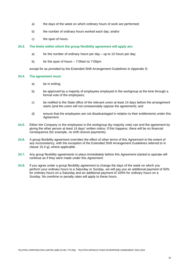- a) the days of the week on which ordinary hours of work are performed;
- b) the number of ordinary hours worked each day; and/or
- c) the span of hours.

#### **24.3. The limits within which the group flexibility agreement will apply are:**

- a) for the number of ordinary hours per day up to 10 hours per day;
- b) for the span of hours 7:00am to 7:00pm

except for as provided by the Extended Shift Arrangement Guidelines in Appendix D.

#### **24.4. The agreement must:**

- a) be in writing;
- b) be approved by a majority of employees employed in the workgroup at the time through a formal vote of the employees;
- c) be notified to the State office of the relevant union at least 14 days before the arrangement starts (and the union will not unreasonably oppose the agreement); and
- d) ensure that the employees are not disadvantaged in relation to their entitlements under this *Agreement*.
- **24.5.** Either *the Company* or the employees in the workgroup (by majority vote) can end the agreement by giving the other person at least 14 days' written notice. If this happens, there will be no financial consequence (for example, no shift closure payments).
- **24.6.** A group flexibility agreement overrides the effect of other terms of this *Agreement* to the extent of any inconsistency, with the exception of the Extended Shift Arrangement Guidelines referred to in clause 15.4 g), where applicable.
- **24.7.** Any group flexibility agreements in place immediately before this *Agreement* started to operate will continue as if they were made under this *Agreement.*
- **24.8.** If *you* agree under a group flexibility agreement to change the days of the week on which *you* perform your ordinary hours to a Saturday or Sunday, *we* will pay *you* an additional payment of 50% for ordinary hours on a Saturday and an additional payment of 100% for ordinary hours on a Sunday. No overtime or penalty rates will apply to these hours.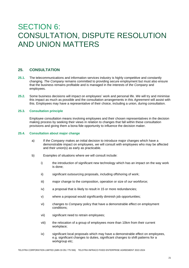## SECTION 6: CONSULTATION, DISPUTE RESOLUTION AND UNION MATTERS

## **25. CONSULTATION**

- **25.1.** The telecommunications and information services industry is highly competitive and constantly changing*. The Company* remains committed to providing secure employment but must also ensure that the business remains profitable and is managed in the interests of *the Company* and employees.
- **25.2.** Some business decisions will impact on employees' work and personal life. *We* will try and minimise this impact as much as possible and the consultation arrangements in this *Agreement* will assist with this. Employees may have a representative of their choice, including a union, during consultation.

#### **25.3. Consultation principle**

Employee consultation means involving employees and their chosen representatives in the decision making process by seeking their views in relation to changes that fall within these consultation provisions and giving them a bona fide opportunity to influence the decision maker.

#### **25.4. Consultation about major change**

- a) If *the Company* makes an initial decision to introduce major changes which have a demonstrable impact on employees, *we* will consult with employees who may be affected and their union(s) as early as practicable.
- b) Examples of situations where *we* will consult include:
	- i) the introduction of significant new technology which has an impact on the way work is done;
	- ii) significant outsourcing proposals, including offshoring of work;
	- iii) major change to the composition, operation or size of *our* workforce;
	- iv) a proposal that is likely to result in 15 or more redundancies;
	- v) where a proposal would significantly diminish job opportunities;
	- vi) changes to *Company* policy that have a demonstrable effect on employment conditions;
	- vii) significant need to retrain employees;
	- viii) the relocation of a group of employees more than 10km from their current workplace;
	- ix) significant local proposals which may have a demonstrable effect on employees, e.g. significant changes to duties, significant changes to shift patterns for a workgroup etc;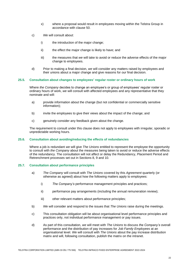- x) where a proposal would result in employees moving within the Telstra Group in accordance with clause 50.
- c) *We* will consult about:
	- i) the introduction of the major change;
	- ii) the effect the major change is likely to have; and
	- iii) the measures that *we* will take to avoid or reduce the adverse effects of the major change to employees.
- d) Prior to making a final decision, *we* will consider any matters raised by employees and their unions about a major change and give reasons for *our* final decision.

#### **25.5. Consultation about changes to employees' regular roster or ordinary hours of work**

Where *the Company* decides to change an employee's or group of employees' regular roster or ordinary hours of work, *we* will consult with affected employees and any representative that they nominate and will:

- a) provide information about the change (but not confidential or commercially sensitive information);
- b) invite the employees to give their views about the impact of the change; and
- c) genuinely consider any feedback given about the change.

The requirement to consult under this clause does not apply to employees with irregular, sporadic or unpredictable working hours.

#### **25.6. Consultation about avoiding/reducing the effects of redundancies**

Where a job is redundant *we* will give *The Unions* entitled to represent the employee the opportunity to consult with *the Company* about the measures being taken to avoid or reduce the adverse effects of the redundancy. The consultation will not affect or delay the Redundancy, Placement Period and Retrenchment processes set out in Sections 8, 9 and 10.

#### **25.7. Consultation about performance principles**

- a) *The Company* will consult with *The Unions* covered by this *Agreement* quarterly (or otherwise as agreed) about how the following matters apply to employees:
	- i) *The Company's* performance management principles and practices;
	- ii) performance pay arrangements (including the annual remuneration review);
	- iii) other relevant matters about performance principles;
- b) *We* will consider and respond to the issues that *The Unions* raise during the meetings.
- c) This consultation obligation will be about organisational level performance principles and practices only, not individual performance management or pay issues.
- d) As part of this consultation, *we* will meet with *The Unions* to discuss *the Company's* overall performance and the distribution of pay increases for *Job Family Employees* at an organisational level. *We* will consult with *The Unions* about the pay increase distribution matrix and will, following consultation, publish the matrix on the intranet.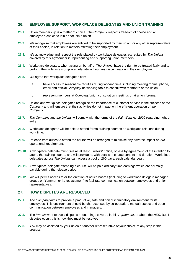## **26. EMPLOYEE SUPPORT, WORKPLACE DELEGATES AND UNION TRAINING**

- **26.1.** Union membership is a matter of choice. *The Company* respects freedom of choice and an employee's choice to join or not join a union.
- **26.2.** *We* recognise that employees are entitled to be supported by their union, or any other representative of their choice, in relation to matters affecting their employment.
- **26.3.** *We* acknowledge and respect the role played by workplace delegates accredited by *The Unions*  covered by this *Agreement* in representing and supporting union members.
- **26.4.** Workplace delegates, when acting on behalf of *The Unions*, have the right to be treated fairly and to perform their role as a workplace delegate without any discrimination in their employment.
- **26.5.** *We* agree that workplace delegates can:
	- a) have access to reasonable facilities during working time, including meeting rooms, phone, email and official *Company* networking tools to consult with members or the union;
	- b) represent members at *Company*/union consultation meetings or at union forums.
- **26.6.** Unions and workplace delegates recognise the importance of customer service in the success of *the Company* and will ensure that their activities do not impact on the efficient operation of *the Company.*
- **26.7.** *The Company* and *the Unions* will comply with the terms of the *Fair Work Act 2009* regarding right of entry.
- **26.8.** Workplace delegates will be able to attend formal training courses on workplace relations during work time.
- **26.9.** Release from duties to attend the course will be arranged to minimise any adverse impact on *our*  operational requirements.
- **26.10.** A workplace delegate must give *us* at least 6 weeks' notice, or less by agreement, of the intention to attend the training course, and will provide *us* with details of course content and duration. Workplace delegates across *The Unions* can access a pool of 260 days, each calendar year.
- **26.11.** A workplace delegate attending a course will be paid ordinary time earnings which are normally payable during the release period.
- **26.12.** *We* will permit access to or the erection of notice boards (including to workplace delegate managed groups on Yammer, or its replacement) to facilitate communication between employees and union representatives.

## **27. HOW DISPUTES ARE RESOLVED**

- **27.1.** *The Company* aims to provide a productive, safe and non discriminatory environment for its employees. This environment should be characterised by co-operation, mutual respect and open communication between employees and managers.
- **27.2.** The *Parties* want to avoid disputes about things covered in this *Agreement,* or about the *NES*. But if disputes occur, this is how they must be resolved.
- **27.3.** *You* may be assisted by your union or another representative of your choice at any step in this process.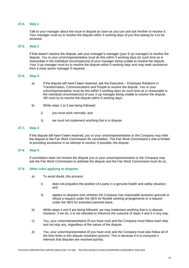#### **27.4. Step 1**

Talk to your manager about the issue in dispute as soon as *you* can and ask him/her to resolve it. Your manager must try to resolve the dispute within 5 working days of *you* first asking for it to be resolved.

#### **27.5. Step 2**

If that doesn't resolve the dispute, ask your manager's manager (your 2-up manager) to resolve the dispute. *You* or your union/representative must do this within 5 working days (or such time as is reasonable in the individual circumstances) of your manager being unable to resolve the dispute. Your 2-up manager must try to resolve the dispute within 5 working days and may seek assistance from a more senior manager if required.

#### **27.6. Step 3**

- a) If the dispute still hasn't been resolved, ask the Executive Employee Relations in Transformation, Communications and People to resolve the dispute. *You* or your union/representative must do this within 5 working days (or such time as is reasonable in the individual circumstances) of your 2-up manager being unable to resolve the dispute. HR must try to resolve the dispute within 5 working days.
- b) While steps 1 to 3 are being followed:
	- i) *you* must work normally; and
	- ii) *we* must not implement anything that is in dispute.

#### **27.7. Step 4**

If the dispute still hasn't been resolved, *you* or your union/representative or *the Company* may refer the dispute to the Fair Work Commission for conciliation. The Fair Work Commission's role is limited to providing assistance in an attempt to resolve, if possible, the dispute.

#### **27.8. Step 5**

If conciliation does not resolve the dispute *you* or your union/representative or *the Company* may ask the Fair Work Commission to arbitrate the dispute and the Fair Work Commission must do so.

#### **27.9. Other rules applying to disputes**

- a) To avoid doubt, this process:
	- i) does not prejudice the position of a party in a genuine health and safety situation; and
	- ii) applies to disputes over whether *the Company* has reasonable business grounds to refuse a request under the *NES* for flexible working arrangements or a request under the *NES* for extended parental leave.
- b) While steps 4 and 5 are being followed, *we* may implement anything that is in dispute. However, if *we* do, it is not intended to influence the outcome of steps 4 and 5 in any way.
- c) *You*, your union/representative (if *you* have one) and *the Company* must follow each step and not skip any, regardless of the nature of the dispute.
- d) *You*, your union/representative (if *you* have one) and *the Company* must also follow all of the time limits in this dispute resolution process. This is because it is in everyone's interests that disputes are resolved quickly.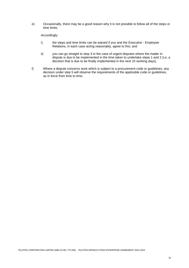e) Occasionally, there may be a good reason why it is not possible to follow all of the steps or time limits.

Accordingly:

- i) the steps and time limits can be waived if *you* and the Executive Employee Relations, in each case acting reasonably, agree to this; and
- ii) *you* can go straight to step 3 in the case of urgent disputes where the matter in dispute is due to be implemented in the time taken to undertake steps 1 and 2 (i.e, a decision that is due to be finally implemented in the next 15 working days).
- f) Where a dispute concerns work which is subject to a procurement code or guidelines, any decision under step 5 will observe the requirements of the applicable code or guidelines, as in force from time to time.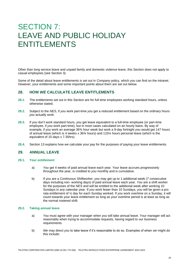## SECTION 7: LEAVE AND PUBLIC HOLIDAY ENTITLEMENTS

Other than long service leave and unpaid family and domestic violence leave, this Section does not apply to casual employees (see Section 3).

Some of the detail about leave entitlements is set out in *Company* policy, which *you* can find on the intranet. However, your entitlements and some important points about them are set out below.

## **28. HOW** *WE* **CALCULATE LEAVE ENTITLEMENTS**

- **28.1.** The entitlements set out in this Section are for full-time employees working standard hours, unless otherwise stated.
- **28.2.** Subject to the *NES*, if *you* work part-time *you* get a reduced entitlement based on the ordinary hours *you* actually work.
- **28.3.** If *you* don't work standard hours, *you* get leave equivalent to a full-time employee (or part-time employee, if *you* work part-time), but in most cases calculated on an hourly basis. By way of example, if *you* work an average 36¾ hour week but work a 9-day fortnight *you* would get 147 hours of annual leave (which is 4 weeks x 36¾ hours) and 110¼ hours personal leave (which is the equivalent of 15 days x 7.35hrs).
- **28.4.** Section 13 explains how *we* calculate your pay for the purposes of paying your leave entitlements.

## **29. ANNUAL LEAVE**

#### **29.1. Your entitlement**

- a) *You* get 4 weeks of paid annual leave each year. Your leave accrues progressively throughout the year, is credited to *you* monthly and is cumulative.
- b) If *you* are a *Continuous Shiftworker*, *you* may get up to 1 additional week (7 consecutive days including non- working days) of paid annual leave each year. *You* are a shift worker for the purposes of the *NES* and will be entitled to the additional week after working 10 Sundays in any calendar year. If *you* work fewer than 10 Sundays, *you* will be given a pro rata entitlement of ½ day for each Sunday worked. If *you* work overtime on a Sunday, it will count towards your leave entitlement so long as your overtime period is at least as long as the normal rostered shift.

#### **29.2. Taking annual leave**

- a) *You* must agree with your manager when *you* will take annual leave. Your manager will act reasonably when trying to accommodate requests, having regard to *our* business requirements.
- b) *We* may direct *you* to take leave if it's reasonable to do so. Examples of when *we* might do this include: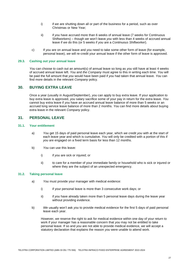- i) if *we* are shutting down all or part of the business for a period, such as over Christmas or New Year;
- ii) if *you* have accrued more than 6 weeks of annual leave (7 weeks for Continuous Shiftworkers) – though *we* won't leave *you* with less than 4 weeks of accrued annual leave if *we* do this (or 5 weeks if *you* are a *Continuous Shiftworker*).
- c) If *you* are on annual leave and *you* need to take some other form of leave (for example, personal leave), *we* will re-credit your annual leave if the other form of leave is approved.

#### **29.3. Cashing out your annual leave**

*You* can choose to cash out an amount(s) of annual leave so long as *you* still have at least 4 weeks of accrued annual leave left. *You* and *the Company* must agree to this in writing each time. *You* will be paid the full amount that *you* would have been paid if *you* had taken that annual leave. *You* can find more details in the relevant *Company* policy.

### **30. BUYING EXTRA LEAVE**

Once a year (usually in August/September), *you* can apply to buy extra leave. If your application to buy extra leave is approved, *you* salary sacrifice some of your pay in return for the extra leave. *You* cannot buy extra leave if *you* have an accrued annual leave balance of more than 5 weeks or an accrued long service leave balance of more than 2 months. *You* can find more details about buying extra leave in the relevant *Company* policy.

## **31. PERSONAL LEAVE**

#### **31.1. Your entitlement**

- a) *You* get 15 days of paid personal leave each year, which *we* credit *you* with at the start of each leave year and which is cumulative. *You* will only be credited with a portion of this if *you* are engaged on a fixed term basis for less than 12 months.
- b) *You* can use this leave:
	- i) if *you* are sick or injured; or
	- ii) to care for a member of your immediate family or household who is sick or injured or where they are the subject of an unexpected emergency.

#### **31.2. Taking personal leave**

- a) *You* must provide your manager with medical evidence:
	- i) if your personal leave is more than 3 consecutive work days; or
	- ii) if *you* have already taken more than 5 personal leave days during the leave year without providing evidence.
- b) *We* usually won't ask *you* to provide medical evidence for the first 5 days of paid personal leave each year.

However, *we* reserve the right to ask for medical evidence within one day of your return to work if your manager has a reasonable concern that *you* may not be entitled to take personal leave. If so and *you* are not able to provide medical evidence, *we* will accept a statutory declaration that explains the reason *you* were unable to attend work.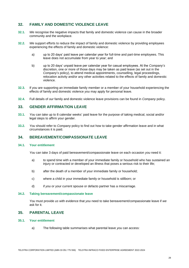## **32. FAMILY AND DOMESTIC VIOLENCE LEAVE**

- **32.1.** *We* recognise the negative impacts that family and domestic violence can cause in the broader community and the workplace.
- **32.2.** *We* support efforts to reduce the impact of family and domestic violence by providing employees experiencing the effects of family and domestic violence:
	- a) up to 20 days' paid leave per calendar year for full-time and part-time employees. This leave does not accumulate from year to year; and
	- b) up to 20 days' unpaid leave per calendar year for casual employees. At the *Company*'*s*  discretion, one or more of those days may be taken as paid leave (as set out in the *Company*'*s* policy), to attend medical appointments, counselling, legal proceedings, relocation activity and/or any other activities related to the effects of family and domestic violence.
- **32.3.** If *you* are supporting an immediate family member or a member of your household experiencing the effects of family and domestic violence *you* may apply for personal leave.
- **32.4.** Full details of *our* family and domestic violence leave provisions can be found in *Company* policy.

## **33. GENDER AFFIRMATION LEAVE**

- **33.1.** *You* can take up to 8 calendar weeks' paid leave for the purpose of taking medical, social and/or legal steps to affirm your gender.
- **33.2.** *You* should refer to *Company* policy to find out how to take gender affirmation leave and in what circumstances it is paid.

## **34. BEREAVEMENT/COMPASSIONATE LEAVE**

#### **34.1. Your entitlement**

*You* can take 3 days of paid bereavement/compassionate leave on each occasion *you* need it:

- a) to spend time with a member of your immediate family or household who has sustained an injury or contracted or developed an illness that poses a serious risk to their life;
- b) after the death of a member of your immediate family or household;
- c) where a child in your immediate family or household is stillborn; or
- d) if *you* or your current spouse or defacto partner has a miscarriage.

#### **34.2. Taking bereavement/compassionate leave**

*You* must provide *us* with evidence that *you* need to take bereavement/compassionate leave if *we*  ask for it.

## **35. PARENTAL LEAVE**

#### **35.1. Your entitlement**

a) The following table summarises what parental leave *you* can access: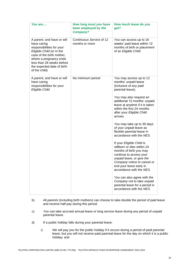| You are                                                                                                                                                                                                                                | How long must you have<br>been employed by the<br><b>Company?</b> | How much leave do you<br>get?                                                                                                                                                                                                                                                                                                                                                                                                                                                                                                                                                                                                                                                                                                                         |
|----------------------------------------------------------------------------------------------------------------------------------------------------------------------------------------------------------------------------------------|-------------------------------------------------------------------|-------------------------------------------------------------------------------------------------------------------------------------------------------------------------------------------------------------------------------------------------------------------------------------------------------------------------------------------------------------------------------------------------------------------------------------------------------------------------------------------------------------------------------------------------------------------------------------------------------------------------------------------------------------------------------------------------------------------------------------------------------|
| A parent, and have or will<br>have caring<br>responsibilities for your<br>Eligible Child (or in the<br>case of the birth mother,<br>where a pregnancy ends<br>less than 28 weeks before<br>the expected date of birth<br>of the child) | Continuous Service of 12<br>months or more                        | You can access up to 16<br>weeks' paid leave within 12<br>months of birth or placement<br>of an Eligible Child.                                                                                                                                                                                                                                                                                                                                                                                                                                                                                                                                                                                                                                       |
| A parent, and have or will<br>have caring<br>responsibilities for your<br>Eligible Child                                                                                                                                               | No minimum period                                                 | You may access up to 12<br>months' unpaid leave<br>(inclusive of any paid<br>parental leave).<br>You may also request an<br>additional 12 months' unpaid<br>leave at anytime if it is taken<br>within the first 24 months<br>after your Eligible Child<br>arrives.<br>You may take up to 30 days<br>of your unpaid leave as<br>flexible parental leave in<br>accordance with the NES.<br>If your Eligible Child is<br>stillborn or dies within 24<br>months of birth you may<br>continue to access your<br>unpaid leave, or give the<br>Company notice to cancel or<br>end your leave early in<br>accordance with the NES.<br>You can also agree with the<br>Company not to take unpaid<br>parental leave for a period in<br>accordance with the NES. |

- b) All *parents* (including birth mothers) can choose to take double the period of paid leave and receive half-pay during this period.
- c) *You* can take accrued annual leave or long service leave during any period of unpaid parental leave.
- d) If a public holiday falls during your parental leave:
	- i) *We* will pay *you* for the public holiday if it occurs during a period of paid parental leave, but *you* will not receive paid parental leave for the day on which it is a public holiday; and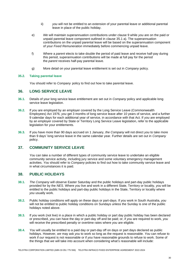- ii) *you* will not be entitled to an extension of your parental leave or additional parental leave in place of the public holiday.
- e) *We* will maintain superannuation contributions under clause 9 while *you* are on the paid or unpaid parental leave component outlined in clause 35.1 a). The superannuation contributions on the unpaid parental leave will be based on the superannuation component of your *Fixed Remuneration* immediately before commencing unpaid leave.
- f) Where a *parent* elects to take double the period of paid leave and receive half-pay during this period, superannuation contributions will be made at full pay for the period the *parent* receives half-pay parental leave.
- g) More detail on your parental leave entitlement is set out in *Company* policy.

#### **35.2. Taking parental leave**

*You* should refer to *Company* policy to find out how to take parental leave.

## **36. LONG SERVICE LEAVE**

- **36.1.** Details of your long service leave entitlement are set out in *Company* policy and applicable long service leave legislation.
- **36.2.** If *you* are employed by an employer covered by the Long Service Leave (Commonwealth Employees) Act 1976, *you* get 3 months of long service leave after 10 years of service, and a further 9 calendar days for each additional year of service, in accordance with that Act. If *you* are employed by an employer covered by State or Territory Long Service Leave legislation, refer to the applicable legislation for your entitlements.
- **36.3.** If you have more than 90 days accrued on 1 January, *the Company* will not direct *you* to take more than 9 days' long service leave in the same calendar year. Further details are set out in *Company* policy.

## **37. COMMUNITY SERVICE LEAVE**

*You* can take a number of different types of community service leave to undertake an eligible community service activity, including jury service and some voluntary emergency management activities. *You* should refer to *Company* policies to find out how to take community service leave and in what circumstances it is paid.

## **38. PUBLIC HOLIDAYS**

- **38.1.** *The Company* will observe Easter Saturday and the public holidays and part-day public holidays provided for by the *NES*. Where *you* live and work in a different State, Territory or locality, *you* will be entitled to the public holidays and part-day public holidays in the State, Territory or locality where *you* usually work.
- **38.2.** Public holiday conditions will apply on these days or part-days. If *you* work in South Australia, *you* will not be entitled to public holiday conditions on Sundays unless the Sunday is one of the public holidays noted above.
- **38.3.** If *you* work (not live) in a place in which a public holiday or part day public holiday has been declared or prescribed, *you* can have the day or part-day off and be paid; or, if *you* are required to work, *you* will receive the prescribed penalty or overtime rates where *you* are eligible.
- **38.4.** *You* will usually be entitled to a paid day or part-day off on days or part days declared as public holidays. However, *we* may ask *you* to work so long as the request is reasonable. *You* can refuse to work if *our* request is not reasonable or if *you* have reasonable grounds to refuse to work. Some of the things that *we* will take into account when considering what's reasonable will include: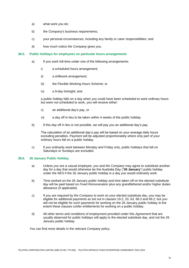- a) what work *you* do;
- b) *the Company'*s business requirements;
- c) your personal circumstances, including any family or carer responsibilities; and
- d) how much notice *the Company* gives *you*.

#### **38.5. Public holidays for employees on particular hours arrangements**

- a) If *you* work full-time under one of the following arrangements:
	- i) a scheduled hours arrangement;
	- ii) a shiftwork arrangement;
	- iii) the Flexible Working Hours Scheme; or
	- iv) a 9-day fortnight; and

a public holiday falls on a day when *you* could have been scheduled to work ordinary hours but were not scheduled to work, *you* will receive either:

- v) an additional day's pay, or
- vi) a day off in lieu to be taken within 4 weeks of the public holiday.
- b) If this day off in lieu is not possible, *we* will pay *you* an additional day's pay.

The calculation of an additional day's pay will be based on your average daily hours excluding penalties. Payment will be adjusted proportionately where only part of your ordinary hours fall on a public holiday.

c) If *you* ordinarily work between Monday and Friday only, public holidays that fall on Saturdays or Sundays are excluded.

#### **38.6. 26 January Public Holiday**

- a) Unless *you* are a casual employee, *you* and *the Company* may agree to substitute another day for a day that would otherwise be the Australia Day ("**26 January**") public holiday under the *NES* if the 26 January public holiday is a day *you* would ordinarily work.
- b) Time worked on the 26 January public holiday and time taken off on the elected substitute day will be paid based on *Fixed Remuneration* plus any grandfathered and/or higher duties allowance (if applicable).
- c) If *you* are required by *the Company* to work on your elected substitute day, *you* may be eligible for additional payments as set out in clauses 19.2, 20, 63, 68.3 and 69.2, but *you* will not be eligible for such payments for working on the 26 January public holiday to the extent these clauses confer entitlements for working on a public holiday.
- d) All other terms and conditions of employment provided under this *Agreement* that are usually observed for public holidays will apply to the elected substitute day, and not the 26 January public holiday.

*You* can find more details in the relevant *Company* policy.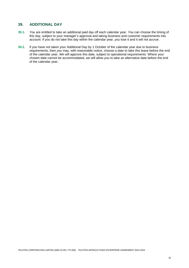## **39. ADDITIONAL DAY**

- **39.1.** *You* are entitled to take an additional paid day off each calendar year. *You* can choose the timing of this day, subject to your manager's approval and taking business and customer requirements into account. If *you* do not take this day within the calendar year, *you* lose it and it will not accrue.
- **39.2.** If *you* have not taken your Additional Day by 1 October of the calendar year due to business requirements, then *you* may, with reasonable notice, choose a date to take this leave before the end of the calendar year. *We* will approve this date, subject to operational requirements. Where your chosen date cannot be accommodated, *we* will allow *you* to take an alternative date before the end of the calendar year.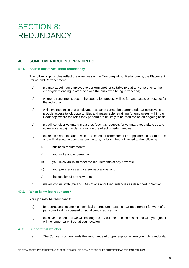## SECTION 8: REDUNDANCY

## **40. SOME OVERARCHING PRINCIPLES**

#### **40.1. Shared objectives about redundancy**

The following principles reflect the objectives of *the Company* about Redundancy, the Placement Period and Retrenchment:

- a) *we* may appoint an employee to perform another suitable role at any time prior to their employment ending in order to avoid the employee being retrenched;
- b) where retrenchments occur, the separation process will be fair and based on respect for the individual;
- c) while *we* recognise that employment security cannot be guaranteed, *our* objective is to provide access to job opportunities and reasonable retraining for employees within *the Company*, where the roles they perform are unlikely to be required on an ongoing basis;
- d) *we* will consider voluntary measures (such as requests for voluntary redundancies and voluntary swaps) in order to mitigate the effect of redundancies;
- e) *we* retain discretion about who is selected for retrenchment or appointed to another role, and will take into account various factors, including but not limited to the following:
	- i) business requirements;
	- ii) your skills and experience;
	- iii) your likely ability to meet the requirements of any new role;
	- iv) your preferences and career aspirations; and
	- v) the location of any new role;
- f) *we* will consult with *you* and *The Unions* about redundancies as described in Section 6.

#### **40.2. When is my job redundant?**

Your job may be redundant if:

- a) for operational, economic, technical or structural reasons, *our* requirement for work of a particular kind has ceased or significantly reduced, or
- b) *we* have decided that we will no longer carry out the function associated with your job or will no longer carry it out at your location.

#### **40.3. Support that we offer**

a) *The Company* understands the importance of proper support where your job is redundant.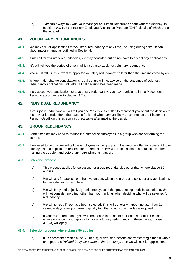b) *You* can always talk with your manager or Human Resources about your redundancy. In addition, *you* can contact *our* Employee Assistance Program (EAP), details of which are on the intranet.

## **41. VOLUNTARY REDUNDANCIES**

- **41.1.** *We* may call for applications for voluntary redundancy at any time, including during consultation about major change as outlined in Section 6.
- **41.2.** If *we* call for voluntary redundancies, *we* may consider, but do not have to accept any applications.
- **41.3.** *We* will tell *you* the period of time in which *you* may apply for voluntary redundancy.
- **41.4.** *You* must tell *us* if *you* want to apply for voluntary redundancy no later than the time indicated by *us*.
- **41.5.** Where major change consultation is required, *we* will not advise on the outcomes of voluntary redundancy applications until after a final decision has been made.
- **41.6.** If *we* accept your application for a voluntary redundancy, *you* may participate in the Placement Period in accordance with clause 49.2 a).

## **42. INDIVIDUAL REDUNDANCY**

If your job is redundant *we* will tell *you* and *the Unions* entitled to represent *you* about the decision to make your job redundant, the reasons for it and when *you* are likely to commence the Placement Period. *We* will do this as soon as practicable after making the decision.

## **43. GROUP REDUNDANCY**

- **43.1.** Sometimes *we* may need to reduce the number of employees in a group who are performing the same job.
- **43.2.** If *we* need to do this, *we* will tell the employees in the group and the union entitled to represent those employees and explain the reasons for the reduction. *We* will do this as soon as practicable after making the decision and before any retrenchments happen.

#### **43.3. Selection process**

- a) This process applies for selections for group redundancies other than where clause 50 applies.
- b) *We* will ask for applications from volunteers within the group and consider any applications before selection is completed.
- c) *We* will fairly and objectively rank employees in the group, using merit-based criteria. *We*  will not consider anything, other than your ranking, when deciding who will be selected for redundancy.
- d) *We* will tell *you* if *you* have been selected. This will generally happen no later than 21 calendar days after *you* were originally told that a reduction in roles is required.
- e) If your role is redundant *you* will commence the Placement Period set out in Section 9, unless *we* accept your application for a voluntary redundancy. In these cases, clause 49.2(a) will apply.

#### **43.4. Selection process where clause 50 applies**

a) If, in accordance with clause 50, role(s), duties, or functions are transferring either in whole or in part to a *Related Body Corporate* of *the Company,* then *we* will ask for applications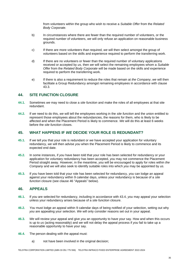from volunteers within the group who wish to receive a *Suitable Offer* from the *Related Body Corporate.*

- b) In circumstances where there are fewer than the required number of volunteers, or the required number of volunteers, *we* will only refuse an application on reasonable business grounds.
- c) If there are more volunteers than required, *we* will then select amongst the group of volunteers based on the skills and experience required to perform the transferring work.
- d) If there are no volunteers or fewer than the required number of voluntary applications received or accepted by *us,* then *we* will select the remaining employees whom a *Suitable Offer* from the *Related Body Corporate* will be made based on the skills and experience required to perform the transferring work.
- e) If there is also a requirement to reduce the roles that remain at *the Company*, *we* will then facilitate a Group Redundancy amongst remaining employees in accordance with clause 43.3.

## **44. SITE FUNCTION CLOSURE**

- **44.1.** Sometimes *we* may need to close a *site function* and make the roles of all employees at that site redundant.
- **44.2.** If *we* need to do this, *we* will tell the employees working in the *site function* and the union entitled to represent those employees about the redundancies, the reasons for them, who is likely to be affected and when the Placement Period is likely to commence. *We* will do this at least 6 weeks before the *site function* closes.

## **45. WHAT HAPPENS IF** *WE* **DECIDE YOUR ROLE IS REDUNDANT?**

- **45.1.** If *we* tell *you* that your role is redundant or *we* have accepted your application for voluntary redundancy, *we* will then advise *you* when the Placement Period is likely to commence and its expected end date.
- **45.2.** In some instances, if *you* have been told that your role has been selected for redundancy or your application for voluntary redundancy has been accepted, *you* may not commence the Placement Period straight away. However, in the meantime, *you* will be encouraged to apply for roles within *the Company* and *we* will also seek to identify suitable roles into which *you* may be appointed by *us.*
- **45.3.** If *you* have been told that your role has been selected for redundancy, *you* can lodge an appeal against your redundancy within 9 calendar days, unless your redundancy is because of a *site function* closure (see clause 46 "Appeals" below).

## **46. APPEALS**

- **46.1.** If *you* are selected for redundancy, including in accordance with 43.4, *you* may appeal your selection unless your redundancy arises because of a *site function* closure.
- **46.2.** *You* must lodge an appeal within 9 calendar days of being notified of your selection, setting out why *you* are appealing your selection. *We* will only consider reasons set out in your appeal.
- **46.3.** *We* will review your appeal and give *you* an opportunity to have your say. How and when this occurs is up to *us* (acting reasonably) and *we* will not delay the appeal process if *you* fail to take up a reasonable opportunity to have your say.
- **46.4.** The person dealing with the appeal must:
	- a) not have been involved in the original decision;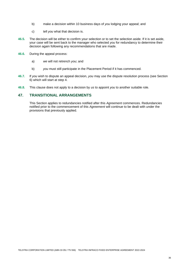- b) make a decision within 10 business days of *you* lodging your appeal; and
- c) tell *you* what that decision is.
- **46.5.** The decision will be either to confirm your selection or to set the selection aside. If it is set aside, your case will be sent back to the manager who selected *you* for redundancy to determine their decision again following any recommendations that are made.
- **46.6.** During the appeal process:
	- a) *we* will not retrench *you*; and
	- b) *you* must still participate in the Placement Period if it has commenced.
- **46.7.** If *you* wish to dispute an appeal decision, *you* may use the dispute resolution process (see Section 6) which will start at step 4.
- **46.8.** This clause does not apply to a decision by *us* to appoint *you* to another suitable role.

## **47. TRANSITIONAL ARRANGEMENTS**

This Section applies to redundancies notified after this *Agreement* commences. Redundancies notified prior to the commencement of this *Agreement* will continue to be dealt with under the provisions that previously applied.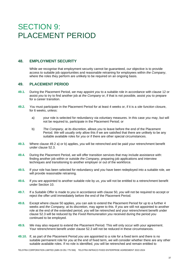## **SECTION 9:** PLACEMENT PERIOD

## **48. EMPLOYMENT SECURITY**

While *we* recognise that employment security cannot be guaranteed, *our* objective is to provide access to suitable job opportunities and reasonable retraining for employees within *the Company*, where the roles they perform are unlikely to be required on an ongoing basis.

### **49. PLACEMENT PERIOD**

- **49.1.** During the Placement Period, *we* may appoint *you* to a suitable role in accordance with clause 12 or assist *you* to try to find another job at *the Company* or, if that is not possible, assist *you* to prepare for a career transition.
- **49.2.** *You* must participate in the Placement Period for at least 4 weeks or, if it is a *site function* closure, for 6 weeks, unless:
	- a) your role is selected for redundancy via voluntary measures. In this case *you* may, but will not be required to, participate in the Placement Period; or
	- b) *The Company*, at its discretion, allows *you* to leave before the end of the Placement Period. *We* will usually only allow this if we are satisfied that there are unlikely to be any suitable available roles for *you* or if there are other special circumstances.
- **49.3.** Where clause 49.2 a) or b) applies, *you* will be retrenched and be paid your retrenchment benefit under clause 52.3.
- **49.4.** During the Placement Period, *we* will offer transition services that may include assistance with: finding another job within or outside *the Company*, preparing job applications and interview techniques and transitioning to another employer or out of the workforce.
- **49.5.** If your role has been selected for redundancy and *you* have been redeployed into a suitable role, *we*  will provide reasonable retraining.
- **49.6.** If *you* are appointed to another suitable role by *us, you* will not be entitled to a retrenchment benefit under Section 10.
- **49.7.** If a *Suitable Offer* is made to *you* in accordance with clause 50, *you* will not be required to accept or reject the offer until immediately before the end of the Placement Period.
- **49.8.** Except where clause 50 applies, *you* can ask to extend the Placement Period for up to a further 4 weeks and *the Company,* at its discretion, may agree to this. If *you* are still not appointed to another role at the end of the extended period, *you* will be retrenched and your retrenchment benefit under clause 52.3 will be reduced by the *Fixed Remuneration you* received during the period *you* continued to be employed.
- **49.9.** *We* may also request to extend the Placement Period. This will only occur with your agreement. Your retrenchment benefit under clause 52.3 will not be reduced in these circumstances.
- **49.10.** If, as part of the Placement Period *you* are appointed to a role for a fixed term and there is no suitable permanent role for *you* at the end of fixed term, *we* will consider whether there are any other suitable available roles. If no role is identified, *you* will be retrenched and remain entitled to

TELSTRA CORPORATION LIMITED (ABN 33 051 775 556) TELSTRA INFRACO FIXED ENTERPRISE AGREEMENT 2022-2024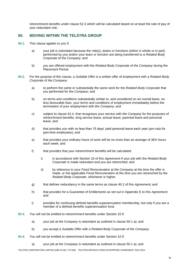retrenchment benefits under clause 52.3 which will be calculated based on at least the rate of pay of your redundant role.

## **50. MOVING WITHIN THE TELSTRA GROUP**

- **50.1.** This clause applies to *you* if:
	- a) your job is redundant because the role(s), duties or functions (either in whole or in part) performed by *you* and/or your team or *function* are being transferred to a *Related Body Corporate* of *the Company*; and
	- b) *you* are offered employment with the *Related Body Corporate* of *the Company* during the Placement Period.
- **50.2.** For the purpose of this clause, a *Suitable Offer* is a written offer of employment with a *Related Body Corporate* of *the Company*:
	- a) to perform the same or substantially the same work for the *Related Body Corporate* that *you* performed for *the Company*; and
	- b) on terms and conditions substantially similar to, and considered on an overall basis, no less favourable than, your terms and conditions of employment immediately before the termination of your employment with *the Company*; and
	- c) subject to clause 52.4, that recognises your service with *the Company* for the purposes of retrenchment benefits, long service leave, annual leave, parental leave and personal leave; and
	- d) that provides *you* with no less than 15 days' paid personal leave each year (pro-rata for part-time employees); and
	- e) that provides your ordinary hours of work will be no more than an average of 36¾ hours each week; and
	- f) that provides that your retrenchment benefits will be calculated:
		- i) in accordance with Section 10 of this *Agreement* if your job with the *Related Body Corporate* is made redundant and *you* are retrenched; and
		- ii) by reference to your *Fixed Remuneration* at *the Company* at the time the offer is made, or the applicable *Fixed Remuneration* at the time *you* are retrenched by the *Related Body Corporate*, whichever is higher.
	- g) that defines redundancy in the same terms as clause 40.2 of this *Agreement;* and
	- h) that provides for a Guarantee of Entitlements as set out in Appendix E to this *Agreement*; and
	- i) provides for continuing defined benefits superannuation membership, but only if *you* are a member of a defined benefits superannuation fund*.*
- **50.3.** *You* will not be entitled to retrenchment benefits under Section 10 if:
	- a) your job at *the Company* is redundant as outlined in clause 50.1 a); and
	- b) you accept a *Suitable Offer* with a *Related Body Corporate* of *the Company*.
- **50.4.** *You* will not be entitled to retrenchment benefits under Section 10 if:
	- a) your job at *the Company* is redundant as outlined in clause 50.1 a); and

TELSTRA CORPORATION LIMITED (ABN 33 051 775 556) TELSTRA INFRACO FIXED ENTERPRISE AGREEMENT 2022-2024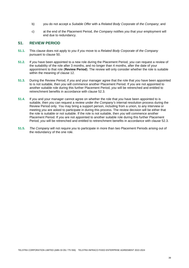- b) you do not accept a *Suitable Offer* with a *Related Body Corporate* of *the Company*; and
- c) at the end of the Placement Period, *the Company* notifies *you* that your employment will end due to redundancy.

## **51. REVIEW PERIOD**

- **51.1.** This clause does not apply to *you* if *you* move to a *Related Body Corporate* of *the Company*  pursuant to clause 50.
- **51.2.** If *you* have been appointed to a new role during the Placement Period, *you* can request a review of the suitability of the role after 3 months, and no longer than 4 months, after the date of your appointment to that role (**Review Period**). The review will only consider whether the role is suitable within the meaning of clause 12.
- **51.3.** During the Review Period, if *you* and your manager agree that the role that *you* have been appointed to is not suitable, then *you* will commence another Placement Period. If *you* are not appointed to another suitable role during this further Placement Period, *you* will be retrenched and entitled to retrenchment benefits in accordance with clause 52.3.
- **51.4.** If *you* and your manager cannot agree on whether the role that *you* have been appointed to is suitable, then *you* can request a review under *the Company's* internal resolution process during the Review Period only. *You* may bring a support person, including from a union, to any interview or meeting *you* are asked to participate in during this process. The review decision will be either that the role is suitable or not suitable. If the role is not suitable, then *you* will commence another Placement Period. If *you* are not appointed to another suitable role during this further Placement Period, *you* will be retrenched and entitled to retrenchment benefits in accordance with clause 52.3.
- **51.5.** *The Company* will not require *you* to participate in more than two Placement Periods arising out of the redundancy of the one role.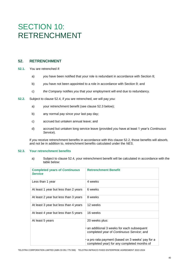## SECTION 10: RETRENCHMENT

## **52. RETRENCHMENT**

- **52.1.** *You* are retrenched if:
	- a) *you* have been notified that your role is redundant in accordance with Section 8;
	- b) *you* have not been appointed to a role in accordance with Section 9; and
	- c) *the Company* notifies *you* that your employment will end due to redundancy.
- **52.2.** Subject to clause 52.4, if *you* are retrenched, *we* will pay *you*:
	- a) your retrenchment benefit (see clause 52.3 below);
	- b) any normal pay since your last pay day;
	- c) accrued but untaken annual leave; and
	- d) accrued but untaken long service leave (provided *you* have at least 1 year's *Continuous Service*).

If *you* receive retrenchment benefits in accordance with this clause 52.2, those benefits will absorb, and not be in addition to, retrenchment benefits calculated under the *NES*.

#### **52.3. Your retrenchment benefits**

a) Subject to clause 52.4, your retrenchment benefit will be calculated in accordance with the table below:

| <b>Completed years of Continuous</b><br><b>Service</b> | <b>Retrenchment Benefit</b>                                                                              |
|--------------------------------------------------------|----------------------------------------------------------------------------------------------------------|
| Less than 1 year                                       | 4 weeks                                                                                                  |
| At least 1 year but less than 2 years                  | 6 weeks                                                                                                  |
| At least 2 year but less than 3 years                  | 8 weeks                                                                                                  |
| At least 3 year but less than 4 years                  | 12 weeks                                                                                                 |
| At least 4 year but less than 5 years                  | 16 weeks                                                                                                 |
| At least 5 years                                       | 20 weeks plus:<br>an additional 3 weeks for each subsequent<br>completed year of Continuous Service; and |
|                                                        | a pro rata payment (based on 3 weeks' pay for a<br>completed year) for any completed months of           |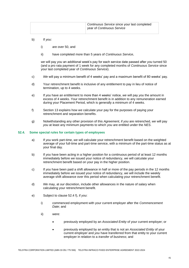| Continuous Service since your last completed<br>year of Continuous Service |
|----------------------------------------------------------------------------|
|----------------------------------------------------------------------------|

- b) If *you*:
	- i) are over 50, and
	- ii) have completed more than 5 years of *Continuous Service*,

*we* will pay *you* an additional week's pay for each service date passed after *you* turned 50 (and a pro rata payment of 1 week for any completed months of *Continuous Service* since your last completed year of *Continuous Service*).

- c) *We* will pay a minimum benefit of 4 weeks' pay and a maximum benefit of 80 weeks' pay.
- d) Your retrenchment benefit is inclusive of any entitlement to pay in lieu of notice of termination, up to 4 weeks.
- e) If *you* have an entitlement to more than 4 weeks' notice, *we* will pay *you* the amount in excess of 4 weeks. Your retrenchment benefit is in addition to any remuneration earned during your Placement Period, which is generally a minimum of 4 weeks.
- f) Section 13 explains how *we* calculate your pay for the purposes of paying your retrenchment and separation benefits.
- g) Notwithstanding any other provision of this *Agreement*, if *you* are retrenched, *we* will pay *you* at least any minimum payments to which *you* are entitled under the *NES*.

#### **52.4. Some special rules for certain types of employees**

- a) If *you* work part-time, *we* will calculate your retrenchment benefit based on the weighted average of your full-time and part-time service, with a minimum of the part-time status as at your final day.
- b) If *you* have been acting in a higher position for a continuous period of at least 12 months immediately before *we* issued your notice of redundancy, *we* will calculate your retrenchment benefit based on your pay in the higher position.
- c) If *you* have been paid a shift allowance in half or more of the pay periods in the 12 months immediately before *we* issued your notice of redundancy, *we* will include the weekly average shift allowance over this period when calculating your retrenchment benefit.
- d) *We* may, at *our* discretion, include other allowances in the nature of salary when calculating your retrenchment benefit.
- e) Subject to clause 52.4 f), if *you*:
	- i) commenced employment with your current employer after the *Commencement Date*; and
	- ii) were:
		- previously employed by an *Associated Entity* of your current employer; or
		- previously employed by an entity that is not an *Associated Entity* of your current employer and *you* have transferred from that entity to your current employer in relation to a *transfer of business*; and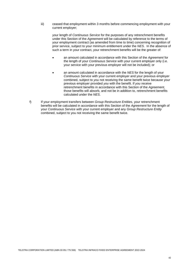iii) ceased that employment within 3 months before commencing employment with your current employer;

your length of *Continuous Service* for the purposes of any retrenchment benefits under this Section of the *Agreement* will be calculated by reference to the terms of your employment contract (as amended from time to time) concerning recognition of prior service, subject to your minimum entitlement under the *NES*. In the absence of such a term in your contract, your retrenchment benefits will be the greater of:

- an amount calculated in accordance with this Section of the *Agreement* for the length of your *Continuous Service* with your current employer only (i.e. your service with your previous employer will not be included); or
- an amount calculated in accordance with the *NES* for the length of your *Continuous Service* with your current employer and your previous employer combined, subject to *you* not receiving the same benefit twice because your previous employer provided *you* with the benefit. If *you* receive retrenchment benefits in accordance with this Section of the *Agreement*, those benefits will absorb, and not be in addition to, retrenchment benefits calculated under the *NES*.
- f) If your employment transfers between *Group Restructure Entities*, your retrenchment benefits will be calculated in accordance with this Section of the *Agreement* for the length of your *Continuous Service* with your current employer and any *Group Restructure Entity* combined, subject to you not receiving the same benefit twice.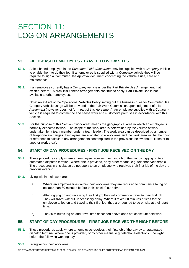## SECTION 11: LOG ON ARRANGEMENTS

## **53. FIELD-BASED EMPLOYEES - TRAVEL TO WORKSITES**

- **53.1.** A field based employee in the *Customer Field Workstream* may be supplied with a *Company* vehicle to enable them to do their job. If an employee is supplied with a *Company* vehicle they will be required to sign a Commuter Use Approval document concerning the vehicle's use, care and maintenance.
- **53.2.** If an employee currently has a *Company* vehicle under the Part Private Use Arrangement that existed before 1 March 1999, these arrangements continue to apply. Part Private Use is not available to other employees.

Note: An extract of the Operational Vehicles Policy setting out the business rules for Commuter Use Category Vehicle usage will be provided to the Fair Work Commission upon lodgement of this *Agreement* (however does not form part of this *Agreement*). An employee supplied with a *Company*  vehicle is required to commence and cease work at a customer's premises in accordance with this Section.

**53.3.** For the purpose of this Section, "work area" means the geographical area in which an employee is normally expected to work. The scope of the work area is determined by the volume of work undertaken by a team member under a team leader. The work area can be described by a number of telephone exchanges. Employees are allocated to a work area and the work area will be the point of reference to calculate any arrangements contemplated in the provisions below about "Transfer to another work area".

## **54. START OF DAY PROCEDURES - FIRST JOB RECEIVED ON THE DAY**

- **54.1.** These procedures apply where an employee receives their first job of the day by logging on to an automated dispatch terminal, where one is provided, or by other means, e.g. telephone/electronic. The procedures in this clause do not apply to an employee who receives their first job of the day the previous evening.
- **54.2.** Living within their work area:
	- a) Where an employee lives within their work area they are required to commence to log on no later than 30 minutes before their "on site" start time.
	- b) After logging on and receiving their first job they will commence travel to their first job. They will travel without unnecessary delay. Where it takes 30 minutes or less for the employee to log on and travel to their first job, they are required to be on site at their start time.
	- c) The 30 minutes log on and travel time described above does not constitute paid work.

## **55. START OF DAY PROCEDURES - FIRST JOB RECEIVED THE NIGHT BEFORE**

- **55.1.** These procedures apply where an employee receives their first job of the day by an automated dispatch terminal, where one is provided, or by other means, e.g. telephone/electronic, the night before the following working day.
- **55.2.** Living within their work area:

TELSTRA CORPORATION LIMITED (ABN 33 051 775 556) TELSTRA INFRACO FIXED ENTERPRISE AGREEMENT 2022-2024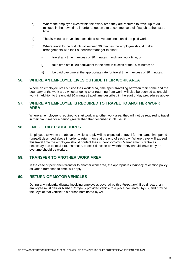- a) Where the employee lives within their work area they are required to travel up to 30 minutes in their own time in order to get on site to commence their first job at their start time.
- b) The 30 minutes travel time described above does not constitute paid work.
- c) Where travel to the first job will exceed 30 minutes the employee should make arrangements with their supervisor/manager to either:
	- i) travel any time in excess of 30 minutes in ordinary work time; or
	- ii) take time off in lieu equivalent to the time in excess of the 30 minutes; or
	- iii) be paid overtime at the appropriate rate for travel time in excess of 30 minutes.

### **56. WHERE AN EMPLOYEE LIVES OUTSIDE THEIR WORK AREA**

Where an employee lives outside their work area, time spent travelling between their home and the boundary of the work area whether going to or returning from work, will also be deemed as unpaid work in addition to the unpaid 30 minutes travel time described in the start of day procedures above.

## **57. WHERE AN EMPLOYEE IS REQUIRED TO TRAVEL TO ANOTHER WORK AREA**

Where an employee is required to start work in another work area, they will not be required to travel in their own time for a period greater than that described in clause 56.

## **58. END OF DAY PROCEDURES**

Employees to whom the above provisions apply will be expected to travel for the same time period (unpaid) described above in order to return home at the end of each day. Where travel will exceed this travel time the employee should contact their supervisor/Work Management Centre as necessary due to local circumstances, to seek direction on whether they should leave early or overtime should be worked.

## **59. TRANSFER TO ANOTHER WORK AREA**

In the case of permanent transfer to another work area, the appropriate *Company* relocation policy, as varied from time to time, will apply.

## **60. RETURN OF MOTOR VEHICLES**

During any industrial dispute involving employees covered by this *Agreement*, if so directed, an employee must deliver his/her *Company* provided vehicle to a place nominated by *us*, and provide the keys of that vehicle to a person nominated by *us*.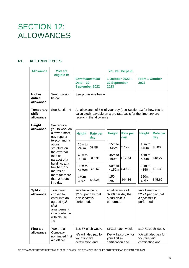## SECTION 12: ALLOWANCES

## **61. ALL EMPLOYEES**

| <b>Allowance</b>                       | <b>You are</b><br>eligible if:                                                                                                                                                                                                     | You will be paid:                                                                                                                                           |                                                                   |                                                                                   |                                                                                                              |                                                                                   |                                                                          |                                                                                                                          |                                                                   |
|----------------------------------------|------------------------------------------------------------------------------------------------------------------------------------------------------------------------------------------------------------------------------------|-------------------------------------------------------------------------------------------------------------------------------------------------------------|-------------------------------------------------------------------|-----------------------------------------------------------------------------------|--------------------------------------------------------------------------------------------------------------|-----------------------------------------------------------------------------------|--------------------------------------------------------------------------|--------------------------------------------------------------------------------------------------------------------------|-------------------------------------------------------------------|
|                                        |                                                                                                                                                                                                                                    | 1 October 2022 -<br><b>Commencement</b><br>$Date - 30$<br><b>30 September</b><br><b>September 2022</b><br>2023                                              |                                                                   | <b>From 1 October</b><br>2023                                                     |                                                                                                              |                                                                                   |                                                                          |                                                                                                                          |                                                                   |
| <b>Higher</b><br>duties<br>allowance   | See provision<br>below                                                                                                                                                                                                             | See provisions below                                                                                                                                        |                                                                   |                                                                                   |                                                                                                              |                                                                                   |                                                                          |                                                                                                                          |                                                                   |
| <b>Temporary</b><br>shift<br>allowance | See Section 4                                                                                                                                                                                                                      | An allowance of 5% of your pay (see Section 13 for how this is<br>calculated), payable on a pro rata basis for the time you are<br>receiving the allowance. |                                                                   |                                                                                   |                                                                                                              |                                                                                   |                                                                          |                                                                                                                          |                                                                   |
| <b>Height</b><br>allowance             | We require<br>you to work on<br>a tower, mast,<br>guy-rope or<br>telecommunic<br>ations<br>structure on<br>the external<br>face or<br>parapet of a<br>building, at a<br>height of 15<br>metres or<br>more for more<br>than 2 hours | <b>Height</b><br>15m to<br>$<$ 45 $m$<br>45m to<br>< 90m<br>90 <sub>m</sub> to<br>$<$ 150 $m$<br>150m<br>and                                                | <b>Rate per</b><br>day<br>\$7.58<br>\$17.31<br>\$29.67<br>\$43.28 |                                                                                   | <b>Height</b><br>15m to<br>$<$ 45 $m$<br>45m to<br>< 90m<br>90 <sub>m</sub> to<br>$<$ 150 $m$<br>150m<br>and | <b>Rate per</b><br>day<br>\$7.77<br>\$17.74<br>\$30.41<br>\$44.36                 |                                                                          | <b>Height</b><br>15m to<br>$<$ 45 $m$<br>45 <sub>m</sub> to<br>< 90m<br>90 <sub>m</sub> to<br>$<$ 150 $m$<br>150m<br>and | <b>Rate per</b><br>day<br>\$8.00<br>\$18.27<br>\$31.33<br>\$45.69 |
| <b>Split shift</b><br>allowance        | in a day<br>You have<br>chosen to<br>enter into an<br>agreed split<br>shift<br>arrangement<br>in accordance<br>with clause<br>18.                                                                                                  | an allowance of<br>\$2.60 per day that<br>a split shift is<br>performed.                                                                                    |                                                                   |                                                                                   | an allowance of<br>\$2.66 per day that<br>a split shift is<br>performed.                                     |                                                                                   | an allowance of<br>\$2.74 per day that<br>a split shift is<br>performed. |                                                                                                                          |                                                                   |
| <b>First aid</b><br>allowance          | You are a<br>Company<br>nominated first<br>aid officer                                                                                                                                                                             | \$18.67 each week.<br>We will also pay for<br>your first aid<br>certification and                                                                           |                                                                   | \$19.13 each week.<br>We will also pay for<br>your first aid<br>certification and |                                                                                                              | \$19.71 each week.<br>We will also pay for<br>your first aid<br>certification and |                                                                          |                                                                                                                          |                                                                   |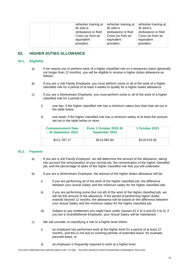| refresher training at |
|-----------------------|
| St John's             |
| Ambulance or Red      |
| Cross (or from an     |
| equivalent            |
| provider).            |
|                       |

## **62. HIGHER DUTIES ALLOWANCE**

#### **62.1. Eligibility**

- a) If *we* require *you* to perform work of a higher classified role on a temporary basis (generally not longer than 12 months), *you* will be eligible to receive a higher duties allowance as follows.
- b) If *you* are a *Job Family Employee, you* must perform some or all of the work of a higher classified role for a period of at least 4 weeks to qualify for a higher duties allowance.
- c) If *you* are a *Workstream Employee, you* must perform some or all of the work of a higher classified role for a period of:
	- i) one day, if the higher classified role has a minimum salary less than that set out in the table below.
	- ii) one week, if the higher classified role has a minimum salary of at least the amount set out in the table below or more.

| <b>Commencement Date</b><br>$-30$ September 2022 | From 1 October 2022-30<br><b>September 2023</b> | 1 October 2023 |  |  |
|--------------------------------------------------|-------------------------------------------------|----------------|--|--|
| \$111,787.17                                     | \$114.581.84                                    | \$118,019.30   |  |  |

#### **62.2. Payment**

- a) If *you* are a *Job Family Employee*, *we* will determine the amount of the allowance, taking into account the remuneration of your normal job, the remuneration of the higher classified job, and the percentage of tasks of the higher classified role that *you* will undertake.
- b) If *you* are a *Workstream Employee*, the amount of the higher duties allowance will be:
	- i) if *you* are performing all of the work of the higher classified job, the difference between your *Actual Salary* and the minimum salary for the higher classified role.
	- ii) if *you* are performing some (but not all) of the work of the higher classified job, *we* will set the amount of the allowance. If the period of performing higher duties extends beyond 12 months, the allowance will be based on the difference between your *Actual Salary* and the minimum salary for the higher classified job.
	- iii) Subject to any entitlement *you* might have under clauses 62.2 b) i) and 62.2 b) ii), if *you* are a *Grandfathered Employee*, your *Actual Salary* will be maintained.
- c) *We* will consider re-classifying a role to a higher level where:
	- i) an employee has performed work at the higher level for a period of at least 12 months, and this is not due to covering periods of extended leave, for example, parental leave, or
	- ii) an employee is frequently required to work at a higher level.

TELSTRA CORPORATION LIMITED (ABN 33 051 775 556) TELSTRA INFRACO FIXED ENTERPRISE AGREEMENT 2022-2024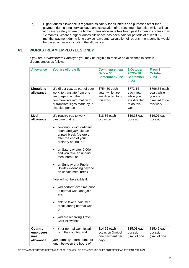d) Higher duties allowance is regarded as salary for all intents and purposes other than payment during long service leave and calculation of retrenchment benefits, which will be at ordinary salary where the higher duties allowance has been paid for periods of less than 12 months. Where a higher duties allowance has been paid for periods of at least 12 months, payment during long service leave and calculation of retrenchment benefits would be based on salary including the allowance.

## **63. WORKSTREAM EMPLOYEES ONLY**

If *you* are a *Workstream Employee you* may be eligible to receive an allowance in certain circumstances as follows:

| <b>Allowance</b>                                 | You are eligible if:                                                                                                                                                                                                                                                                                                                                                                                                                                                                                                                            | <b>Commencement</b><br>$Date - 30$<br><b>September 2022</b>         | 1 October<br>$2022 - 30$<br><b>September</b><br>2023                      | From 1<br><b>October</b><br>2023                                       |
|--------------------------------------------------|-------------------------------------------------------------------------------------------------------------------------------------------------------------------------------------------------------------------------------------------------------------------------------------------------------------------------------------------------------------------------------------------------------------------------------------------------------------------------------------------------------------------------------------------------|---------------------------------------------------------------------|---------------------------------------------------------------------------|------------------------------------------------------------------------|
| Linguistic<br>allowance                          | We direct you, as part of your<br>work, to translate from one<br>language to another or<br>communicate information to,<br>or translate signs made by, a<br>disabled person                                                                                                                                                                                                                                                                                                                                                                      | \$754.30 each<br>year, while you<br>are directed to do<br>this work | \$773.16<br>each year,<br>while you<br>are directed<br>to do this<br>work | \$796.35 each<br>year, while<br>you are<br>directed to do<br>this work |
| Meal<br>allowance                                | We require you to work<br>overtime that is:<br>continuous with ordinary<br>hours and you take an<br>unpaid break (before or<br>after the end of your<br>ordinary hours), or<br>on Saturday after 2:00pm<br>and you take an unpaid<br>meal break, or<br>on Sunday or a Public<br>Holiday extending beyond<br>an unpaid meal break.<br>You will not be eligible if:<br>you perform overtime prior<br>to normal work and you<br>are:<br>able to take a paid meal<br>break during normal work,<br>υı<br>you are receiving Travel<br>Cost Allowance. | \$18.86 each<br>occasion                                            | \$19.33 each<br>occasion                                                  | \$19.91 each<br>occasion                                               |
| <b>Country</b><br>employees<br>meal<br>allowance | Your normal work location<br>is in the country; and<br>you normally return home for<br>lunch between the hours of                                                                                                                                                                                                                                                                                                                                                                                                                               | \$14.65 each<br>occasion (limit of<br>one payment per<br>day)       | \$15.01 each<br>occasion<br>(limit of one                                 | \$15.46 each<br>occasion<br>(limit of one                              |

TELSTRA CORPORATION LIMITED (ABN 33 051 775 556) TELSTRA INFRACO FIXED ENTERPRISE AGREEMENT 2022-2024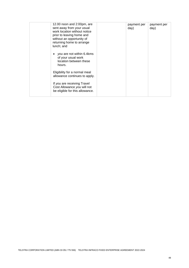| 12.00 noon and 2:00pm, are<br>sent away from your usual<br>work location without notice<br>prior to leaving home and<br>without an opportunity of<br>returning home to arrange<br>lunch; and | payment per<br>day) | payment per<br>day) |
|----------------------------------------------------------------------------------------------------------------------------------------------------------------------------------------------|---------------------|---------------------|
| you are not within 6.4kms<br>of your usual work<br>location between these<br>hours.                                                                                                          |                     |                     |
| Eligibility for a normal meal<br>allowance continues to apply.                                                                                                                               |                     |                     |
| If you are receiving Travel<br>Cost Allowance you will not<br>be eligible for this allowance.                                                                                                |                     |                     |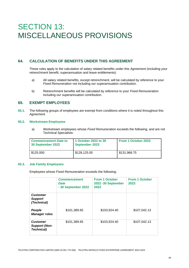## SECTION 13: MISCELLANEOUS PROVISIONS

## **64. CALCULATION OF BENEFITS UNDER THIS AGREEMENT**

These rules apply to the calculation of salary related benefits under this *Agreement* (including your retrenchment benefit, superannuation and leave entitlements):

- a) All salary related benefits, except retrenchment, will be calculated by reference to your *Fixed Remuneration* not including *our* superannuation contribution.
- b) Retrenchment benefits will be calculated by reference to your *Fixed Remuneration*  including *our* superannuation contribution.

## **65. EXEMPT EMPLOYEES**

**65.1.** The following groups of employees are exempt from conditions where it is noted throughout this *Agreement.*

#### **65.2. Workstream Employees**

a) Workstream employees whose *Fixed Remuneration* exceeds the following, and are not Technical Specialists:

| <b>Commencement Date to</b><br>30 September 2022 | 1 October 2022 to 30<br><b>September 2023</b> | From 1 October 2023 |
|--------------------------------------------------|-----------------------------------------------|---------------------|
| \$125,000                                        | \$128,125.00                                  | \$131,968.75        |

#### **65.3. Job Family Employees**

Employees whose *Fixed Remuneration* exceeds the following:

|                                                              | <b>Commencement</b><br>Date<br>- 30 September 2022 | <b>From 1 October</b><br>2022 -30 September<br>2023 | <b>From 1 October</b><br>2023 |
|--------------------------------------------------------------|----------------------------------------------------|-----------------------------------------------------|-------------------------------|
| <b>Customer</b><br><b>Support</b><br>(Technical)             |                                                    |                                                     |                               |
| People<br><b>Manager roles</b>                               | \$101,389.65                                       | \$103,924.40                                        | \$107,042.13                  |
| <b>Customer</b><br><b>Support (Non-</b><br><b>Technical)</b> | \$101,389.65                                       | \$103,924.40                                        | \$107,042.13                  |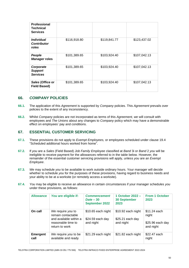| <b>Professional</b><br><b>Technical</b><br><b>Services</b> |              |              |              |
|------------------------------------------------------------|--------------|--------------|--------------|
| <i><b>Individual</b></i><br><b>Contributor</b><br>roles    | \$116,918.80 | \$119,841.77 | \$123,437.02 |
| People<br><b>Manager roles</b>                             | \$101,389.65 | \$103,924.40 | \$107,042.13 |
| Corporate<br><b>Support</b><br><b>Services</b>             | \$101,389.65 | \$103,924.40 | \$107,042.13 |
| Sales (Office or<br><b>Field Based)</b>                    | \$101,389.65 | \$103,924.40 | \$107,042.13 |

## **66.** *COMPANY* **POLICIES**

- **66.1.** The application of this *Agreement* is supported by *Company* policies. This *Agreement* prevails over policies to the extent of any inconsistency.
- **66.2.** Whilst *Company* policies are not incorporated as terms of this *Agreement, we* will consult with employees and *The Unions* about any changes to *Company* policy which may have a demonstrable effect on employees' pay and conditions.

## **67. ESSENTIAL CUSTOMER SERVICING**

- **67.1.** These provisions do not apply to *Exempt Employees,* or employees scheduled under clause 19.4 "Scheduled additional hours worked from home".
- **67.2.** If *you* are a *Sales* (Field Based) *Job Family Employee* classified at *Band* 3i or *Band* 2 *you* will be ineligible to receive payment for the allowances referred to in the table below. However, the remainder of the essential customer servicing provisions will apply, unless *you* are an *Exempt Employee*.
- **67.3.** *We* may schedule *you* to be available to work outside ordinary hours. Your manager will decide whether to schedule *you* for the purposes of these provisions, having regard to business needs and your ability to be at a worksite (or remotely access a worksite).
- **67.4.** *You* may be eligible to receive an allowance in certain circumstances if your manager schedules *you* under these provisions, as follows:

| <b>Allowance</b>        | You are eligible if:                                                                                      | <b>Commencement</b><br>$Date - 30$<br><b>September 2022</b> | 1 October 2022 -<br><b>30 September</b><br>2023     | <b>From 1 October</b><br>2023                           |
|-------------------------|-----------------------------------------------------------------------------------------------------------|-------------------------------------------------------------|-----------------------------------------------------|---------------------------------------------------------|
| On call                 | We require you to<br>remain contactable<br>and available within a<br>reasonable time to<br>return to work | \$10.65 each night<br>\$24.59 each day<br>and night         | \$10.92 each night<br>\$25.21 each day<br>and night | \$11.24 each<br>night<br>$$25.96$ each day<br>and night |
| <b>Emergent</b><br>call | We require you to be<br>available and ready                                                               | \$21.29 each night                                          | \$21.82 each night                                  | \$22.47 each<br>night                                   |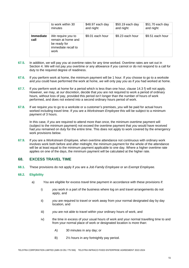|                          | to work within 30                                                                      | \$48.97 each day | \$50.19 each day | \$51.70 each day |
|--------------------------|----------------------------------------------------------------------------------------|------------------|------------------|------------------|
|                          | minutes                                                                                | and night        | and night        | and night        |
| <b>Immediate</b><br>call | We require you to<br>remain at home and<br>be ready for<br>immediate recall to<br>work | \$9.01 each hour | \$9.23 each hour | \$9.51 each hour |

- **67.5.** In addition, *we* will pay *you* at overtime rates for any time worked. Overtime rates are set out in Section 4. *We* will not pay *you* overtime or any allowance if *you* cannot or do not respond to a call for duty to the required degree of readiness.
- **67.6.** If *you* perform work at home, the minimum payment will be 1 hour. If *you* choose to go to a worksite and *you* could have performed the work at home, *we* will only pay *you* as if *you* had worked at home.
- **67.7.** If *you* perform work at home for a period which is less than one hour, clause 14.3 f) will not apply. However, *we* may, at *our* discretion, decide that *you* are not required to work a period of ordinary hours, without loss of pay, provided this period isn't longer than the number of hours of work performed, and does not extend into a second ordinary hours period of work.
- **67.8.** If *we* require *you* to go to a worksite or a customer's premises, *you* will be paid for actual hours worked including travel time. If *you* are a *Workstream Employee* this will be subject to a minimum payment of 3 hours.

In this case, if *you* are required to attend more than once, the minimum overtime payment will (subject to the minimum payment) not exceed the overtime payment that *you* would have received had *you* remained on duty for the entire time. This does not apply to work covered by the emergency work provisions below.

**67.9.** If *you* are a *Workstream Employee,* when overtime attendance not continuous with ordinary work involves work both before and after midnight, the minimum payment for the whole of the attendance will be at least equal to the minimum payment applicable to one day. Where a higher overtime rate applies on one of the days, the minimum payment will be calculated at the higher rate.

## **68. EXCESS TRAVEL TIME**

**68.1.** These provisions do not apply if *you* are a *Job Family Employee* or an *Exempt Employee.*

#### **68.2. Eligibility**

- a) *You* are eligible for excess travel time payment in accordance with these provisions if:
	- i) *you* work in a part of the business where log on and travel arrangements do not apply, and
	- ii) *you* are required to travel or work away from your normal designated day by day location, and
	- iii) *you* are not able to travel within your ordinary hours of work, and
	- iv) the time in excess of your usual hours of work and your normal travelling time to and from your normal place of work or designated location is more than:
		- A) 30 minutes in any day; or
		- B) 2½ hours in any fortnightly pay period.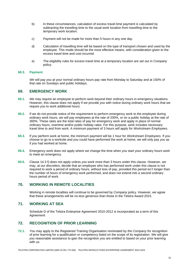- b) In these circumstances, calculation of excess travel time payment is calculated by subtracting the travelling time to the usual work location from travelling time to the temporary work location.
- c) Payment will not be made for more than 5 hours in any one day.
- d) Calculation of travelling time will be based on the type of transport chosen and used by the employee. This mode should be the most effective means, with consideration given to the excess travel time and cost incurred.
- e) The eligibility rules for excess travel time at a temporary location are set out in *Company*  policy.

#### **68.3. Payment**

*We* will pay *you* at your normal ordinary hours pay rate from Monday to Saturday and at 150% of that rate on Sundays and public holidays.

### **69. EMERGENCY WORK**

- **69.1.** *We* may require an employee to perform work beyond their ordinary hours in emergency situations. However, this clause does not apply if *we* provide *you* with notice during ordinary work hours that *we*  require *you* to work additional hours.
- **69.2.** If *we* do not provide notice of the requirement to perform emergency work to the employee during ordinary work hours, *we* will pay employees at the rate of 200%, or on a public holiday at the rate of 300%. These rates are the total rates of pay for emergency work and apply in place of normal ordinary hours, overtime and/or public holiday rates. For this purpose, work includes necessary travel time to and from work. A minimum payment of 3 hours will apply for *Workstream Employees.*
- **69.3.** If *you* perform work at home, the minimum payment will be 1 hour for *Workstream Employees.* If *you* choose to go to a worksite and *you* could have performed the work at home, *we* will only pay *you* as if *you* had worked at home.
- **69.4.** Emergency work does not apply where *we* change the time when *you* start your ordinary hours work to meet an emergency.
- **69.5.** Clause 14.3 f) does not apply unless *you* work more than 3 hours under this clause. However, *we*  may, at *our* discretion, decide that an employee who has performed work under this clause is not required to work a period of ordinary hours, without loss of pay, provided this period isn't longer than the number of hours of emergency work performed, and does not extend into a second ordinary hours period of work.

## **70. WORKING IN REMOTE LOCALITIES**

Working in remote localities will continue to be governed by *Company* policy. However, *we* agree that these arrangements will be no less generous than those in the Telstra Award 2015.

## **71. WORKING AT SEA**

Schedule D of the Telstra Enterprise Agreement 2010-2012 is incorporated as a term of this *Agreement*.

## **72. RECOGNITION OF PRIOR LEARNING**

**72.1.** *You* may apply to the Registered Training Organisation nominated by *the Company* for recognition of prior learning for a qualification or competency listed on the scope of its registration. *We* will give *you* reasonable assistance to gain the recognition *you* are entitled to based on your prior learning with *us*.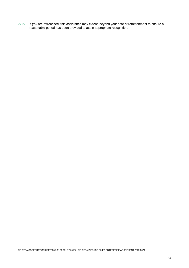**72.2.** If *you* are retrenched, this assistance may extend beyond your date of retrenchment to ensure a reasonable period has been provided to attain appropriate recognition.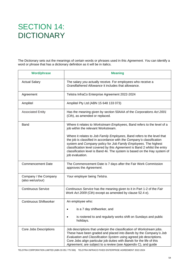## SECTION 14: **DICTIONARY**

The Dictionary sets out the meanings of certain words or phrases used in this *Agreement*. *You* can identify a word or phrase that has a dictionary definition as it will be in italics.

| <b>Word/phrase</b>                        | <b>Meaning</b>                                                                                                                                                                                                                                                                                                                                                                                    |  |
|-------------------------------------------|---------------------------------------------------------------------------------------------------------------------------------------------------------------------------------------------------------------------------------------------------------------------------------------------------------------------------------------------------------------------------------------------------|--|
| <b>Actual Salary</b>                      | The salary you actually receive. For employees who receive a<br>Grandfathered Allowance it includes that allowance.                                                                                                                                                                                                                                                                               |  |
| Agreement                                 | Telstra InfraCo Enterprise Agreement 2022-2024                                                                                                                                                                                                                                                                                                                                                    |  |
| Amplitel                                  | Amplitel Pty Ltd (ABN 15 648 133 073)                                                                                                                                                                                                                                                                                                                                                             |  |
| <b>Associated Entity</b>                  | Has the meaning given by section 50AAA of the Corporations Act 2001<br>(Cth), as amended or replaced.                                                                                                                                                                                                                                                                                             |  |
| Band                                      | Where it relates to Workstream Employees, Band refers to the level of a<br>job within the relevant Workstream.                                                                                                                                                                                                                                                                                    |  |
|                                           | Where it relates to Job Family Employees, Band refers to the level that<br>the job is classified in accordance with the Company's classification<br>system and Company policy for Job Family Employees. The highest<br>classification level covered by this Agreement is Band 2 whilst the entry<br>classification level is Band 4ii. The system is based on the Hay system of<br>job evaluation. |  |
| <b>Commencement Date</b>                  | The Commencement Date is 7 days after the Fair Work Commission<br>approves the Agreement.                                                                                                                                                                                                                                                                                                         |  |
| Company / the Company<br>(also we/us/our) | Your employer being Telstra.                                                                                                                                                                                                                                                                                                                                                                      |  |
| <b>Continuous Service</b>                 | Continuous Service has the meaning given to it in Part 1-2 of the Fair<br>Work Act 2009 (Cth) except as amended by clause 52.4 e).                                                                                                                                                                                                                                                                |  |
| <b>Continuous Shiftworker</b>             | An employee who:<br>is a 7 day shiftworker, and<br>is rostered to and regularly works shift on Sundays and public<br>holidays.                                                                                                                                                                                                                                                                    |  |
| Core Jobs Descriptions                    | Job descriptions that underpin the classification of Workstream jobs.<br>These have been graded and placed into Bands by the Company's Job<br>Evaluation and Classification System using agreed job descriptions.<br>Core Jobs align particular job duties with Bands for the life of this<br>Agreement, are subject to a review (see Appendix C), and guide                                      |  |

TELSTRA CORPORATION LIMITED (ABN 33 051 775 556) TELSTRA INFRACO FIXED ENTERPRISE AGREEMENT 2022-2024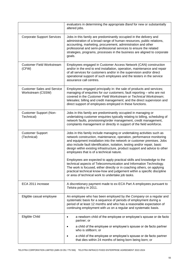|                                                        | evaluators in determining the appropriate Band for new or substantially<br>altered jobs.                                                                                                                                                                                                                                                                                                                                         |  |
|--------------------------------------------------------|----------------------------------------------------------------------------------------------------------------------------------------------------------------------------------------------------------------------------------------------------------------------------------------------------------------------------------------------------------------------------------------------------------------------------------|--|
| <b>Corporate Support Services</b>                      | Jobs in this family are predominantly occupied in the delivery and<br>administration of a broad range of human resources, public relations,<br>accounting, marketing, procurement, administration and other<br>professional and semi-professional services to ensure the related<br>strategies, programs, processes in the business are aligned to corporate<br>goals.                                                           |  |
| <b>Customer Field Workstream</b><br>(CFW)              | Employees engaged in Customer Access Network (CAN) construction<br>and/or in the end to end installation, operation, maintenance and repair<br>of all services for customers and/or in the supervision and/or direct<br>operational support of such employees and the testers in the service<br>assurance call centres.                                                                                                          |  |
| <b>Customer Sales and Service</b><br>Workstream (CSSW) | Employees engaged principally in: the sale of products and services;<br>managing of enquiries for our customers; fault reporting - who are not<br>covered in the Customer Field Workstream or Technical Workstream;<br>telesales; billing and credit management; and the direct supervision and<br>direct support of employees employed in these functions.                                                                      |  |
| <b>Customer Support (Non-</b><br>Technical)            | Jobs in this family are predominantly occupied in managing or<br>undertaking customer enquiries typically relating to billing, scheduling of<br>network faults, provisioning/order management, credit management,<br>complaints management or directly in support of the field workforce.                                                                                                                                        |  |
| <b>Customer Support</b><br>(Technical)                 | Jobs in this family include managing or undertaking activities such as<br>network construction, maintenance, operation, performance monitoring<br>and equipment installation into the network or customer premises. Jobs<br>also include fault identification, isolation, testing and/or repair, basic<br>design within existing infrastructure, product support and advice to other<br>employees that is of a technical nature. |  |
|                                                        | Employees are expected to apply practical skills and knowledge to the<br>technical aspects of Telecommunication and Information Technology.<br>The work is focused, either directly or in coaching others, on applying<br>practical technical know-how and judgement within a specific discipline<br>or area of technical work to undertake job tasks.                                                                           |  |
| ECA 2011 increase                                      | A discretionary payment made to ex-ECA Part A employees pursuant to<br>Telstra policy in 2011.                                                                                                                                                                                                                                                                                                                                   |  |
| Eligible casual employee                               | An employee who has been employed by the Company on a regular and<br>systematic basis for a sequence of periods of employment during a<br>period of at least 12 months and who has a reasonable expectation of<br>continuing employment with us on a regular and systematic basis.                                                                                                                                               |  |
| Eligible Child                                         | a newborn child of the employee or employee's spouse or de facto<br>partner; or                                                                                                                                                                                                                                                                                                                                                  |  |
|                                                        | a child of the employee or employee's spouse or de facto partner<br>who is stillborn; or                                                                                                                                                                                                                                                                                                                                         |  |
|                                                        | a child of the employee or employee's spouse or de facto partner<br>that dies within 24 months of being born being born; or                                                                                                                                                                                                                                                                                                      |  |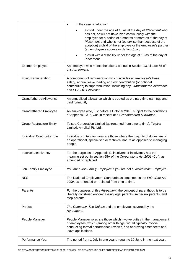|                                 | in the case of adoption:                                                                                                                                                                                                                                                                                                                               |  |
|---------------------------------|--------------------------------------------------------------------------------------------------------------------------------------------------------------------------------------------------------------------------------------------------------------------------------------------------------------------------------------------------------|--|
|                                 | a child under the age of 16 as at the day of Placement who<br>has not, or will not have lived continuously with the<br>employee for a period of 6 months or more as at the day of<br>Placement and who is not (otherwise than because of the<br>adoption) a child of the employee or the employee's partner<br>(an employee's spouse or de facto); or, |  |
|                                 | a child with a disability under the age of 18 as at the day of<br>Placement.                                                                                                                                                                                                                                                                           |  |
| <b>Exempt Employee</b>          | An employee who meets the criteria set out in Section 13, clause 65 of<br>this Agreement.                                                                                                                                                                                                                                                              |  |
| <b>Fixed Remuneration</b>       | A component of remuneration which includes an employee's base<br>salary, annual leave loading and our contribution (or notional<br>contribution) to superannuation, including any Grandfathered Allowance<br>and ECA 2011 increase.                                                                                                                    |  |
| <b>Grandfathered Allowance</b>  | An annualised allowance which is treated as ordinary time earnings and<br>paid fortnightly.                                                                                                                                                                                                                                                            |  |
| <b>Grandfathered Employee</b>   | An employee who, just before 1 October 2018, subject to the conditions<br>of Appendix C4.2, was in receipt of a Grandfathered Allowance.                                                                                                                                                                                                               |  |
| <b>Group Restructure Entity</b> | Telstra Corporation Limited (as renamed from time to time), Telstra<br>Limited, Amplitel Pty Ltd.                                                                                                                                                                                                                                                      |  |
| Individual Contributor role     | Individual contributor roles are those where the majority of duties are of<br>an operational, specialised or technical nature as opposed to managing<br>people.                                                                                                                                                                                        |  |
| Insolvent/Insolvency            | For the purposes of Appendix E, insolvent or insolvency has the<br>meaning set out in section 95A of the Corporations Act 2001 (Cth), as<br>amended or replaced.                                                                                                                                                                                       |  |
| Job Family Employee             | You are a Job Family Employee if you are not a Workstream Employee.                                                                                                                                                                                                                                                                                    |  |
| <b>NES</b>                      | The National Employment Standards as contained in the Fair Work Act<br>2009, as amended or replaced from time to time.                                                                                                                                                                                                                                 |  |
| Parent/s                        | For the purposes of this Agreement, the concept of parenthood is to be<br>liberally construed encompassing legal parents, same-sex parents, and<br>step-parents.                                                                                                                                                                                       |  |
| Parties                         | The Company, The Unions and the employees covered by the<br>Agreement.                                                                                                                                                                                                                                                                                 |  |
| People Manager                  | People Manager roles are those which involve duties in the management<br>of employees, which (among other things) would typically involve<br>conducting formal performance reviews, and approving timesheets and<br>leave applications.                                                                                                                |  |
| Performance Year                | The period from 1 July in one year through to 30 June in the next year.                                                                                                                                                                                                                                                                                |  |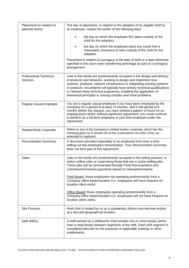| Placement (in relation to<br>parental leave)     | The day of placement, in relation to the adoption of an eligible child by<br>an employee, means the earlier of the following days:                                                                                                                                                                                                                                                                                                              |  |
|--------------------------------------------------|-------------------------------------------------------------------------------------------------------------------------------------------------------------------------------------------------------------------------------------------------------------------------------------------------------------------------------------------------------------------------------------------------------------------------------------------------|--|
|                                                  | the day on which the employee first takes custody of the<br>child for the adoption;                                                                                                                                                                                                                                                                                                                                                             |  |
|                                                  | the day on which the employee starts any travel that is<br>reasonably necessary to take custody of the child for the<br>adoption.                                                                                                                                                                                                                                                                                                               |  |
|                                                  | Placement in relation to surrogacy is the date of birth or a date otherwise<br>specified in the court order transferring parentage as part of a surrogacy<br>arrangement.                                                                                                                                                                                                                                                                       |  |
| <b>Professional Technical</b><br><b>Services</b> | Jobs in this family are predominantly occupied in the design and delivery<br>of products and networks, working to design and implement new<br>systems, products, network infrastructure or integrating existing systems<br>or products. Incumbents will typically have tertiary technical qualifications<br>or relevant deep technical experience, enabling the application of<br>theoretical principles in solving complex and novel problems. |  |
| Regular casual employee                          | You are a regular casual employee if you have been employed by the<br>Company for a period of at least 12 months, and in the period of 6<br>months before the request, you have worked a pattern of hours on an<br>ongoing basis which, without significant adjustment, you could continue<br>to perform as a full-time employee or part-time employee under the<br>Agreement.                                                                  |  |
| <b>Related Body Corporate</b>                    | Refers to any of the Company's related bodies corporate, which has the<br>meaning given to in section 50 of the Corporations Act 2001 (Cth), as<br>amended or replaced.                                                                                                                                                                                                                                                                         |  |
| <b>Remuneration Summary</b>                      | A document provided separately to an employee from time to time<br>setting out the employee's remuneration. Your Remuneration Summary<br>does not form part of this Agreement.                                                                                                                                                                                                                                                                  |  |
| Sales                                            | Jobs in this family are predominantly occupied in the selling process, in<br>active selling roles or supervising those that are in active selling jobs.<br>These jobs will be remunerated through Fixed Remuneration and<br>commission/incentive payments based on sales/performance.                                                                                                                                                           |  |
|                                                  | Field Based: those employees not operating predominantly from a<br>Company office based location (i.e. employees will have frequent on<br>location client visits).                                                                                                                                                                                                                                                                              |  |
|                                                  | Office Based: those employees operating predominantly from a<br>Company office based location (i.e. employees will not have frequent on<br>location client visits).                                                                                                                                                                                                                                                                             |  |
| <b>Site Function</b>                             | Work that is treated by us as a substantial, distinct and discrete activity<br>at a discrete geographical location.                                                                                                                                                                                                                                                                                                                             |  |
| Split shift(s)                                   | A shift worked by a shiftworker that includes one or more breaks (other<br>than a meal break) between segments of the shift. Each shift segment is<br>considered discrete for the purposes of applicable loadings or other<br>entitlements.                                                                                                                                                                                                     |  |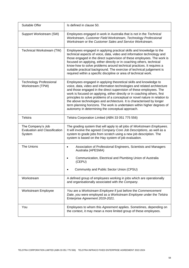| Suitable Offer                                                      | Is defined in clause 50.                                                                                                                                                                                                                                                                                                                                                                                                                                                                                                                                                                  |  |
|---------------------------------------------------------------------|-------------------------------------------------------------------------------------------------------------------------------------------------------------------------------------------------------------------------------------------------------------------------------------------------------------------------------------------------------------------------------------------------------------------------------------------------------------------------------------------------------------------------------------------------------------------------------------------|--|
| Support Workstream (SW)                                             | Employees engaged in work in Australia that is not in the Technical<br>Workstream, Customer Field Workstream, Technology Professional<br>Workstream or the Customer Sales and Service Workstream.                                                                                                                                                                                                                                                                                                                                                                                         |  |
| Technical Workstream (TW)                                           | Employees engaged in applying practical skills and knowledge to the<br>technical aspects of voice, data, video and information technology and<br>those engaged in the direct supervision of these employees. The work is<br>focused on applying, either directly or in coaching others, technical<br>know-how to solve problems around technical practices. It requires a<br>suitable practical background. The exercise of technical judgement is<br>required within a specific discipline or area of technical work.                                                                    |  |
| <b>Technology Professional</b><br>Workstream (TPW)                  | Employees engaged in applying theoretical skills and knowledge to<br>voice, data, video and information technologies and related architecture<br>and those engaged in the direct supervision of these employees. The<br>work is focused on applying, either directly or in coaching others, first<br>principles to solve problems of a conceptual or novel nature in relation to<br>the above technologies and architecture. It is characterised by longer<br>term planning horizons. The work is undertaken within higher degrees of<br>autonomy in determining the conceptual approach. |  |
| Telstra                                                             | Telstra Corporation Limited (ABN 33 051 775 556)                                                                                                                                                                                                                                                                                                                                                                                                                                                                                                                                          |  |
| The Company's Job<br><b>Evaluation and Classification</b><br>System | The grading system that will apply to all jobs of Workstream Employees.<br>It will involve the agreed Company Core Job Descriptions, as well as a<br>system to grade jobs from scratch using a new job description. The<br>system is based on the Hay system of job evaluation.                                                                                                                                                                                                                                                                                                           |  |
| The Unions                                                          | Association of Professional Engineers, Scientists and Managers<br>Australia (APESMA)                                                                                                                                                                                                                                                                                                                                                                                                                                                                                                      |  |
|                                                                     | Communication, Electrical and Plumbing Union of Australia<br>(CEPU)<br>Community and Public Sector Union (CPSU)                                                                                                                                                                                                                                                                                                                                                                                                                                                                           |  |
| Workstream                                                          | A defined group of employees working in jobs which are operationally<br>and organisationally associated with the Company.                                                                                                                                                                                                                                                                                                                                                                                                                                                                 |  |
| Workstream Employee                                                 | You are a Workstream Employee if just before the Commencement<br>Date, you were employed as a Workstream Employee under the Telstra<br>Enterprise Agreement 2019-2021.                                                                                                                                                                                                                                                                                                                                                                                                                    |  |
| You                                                                 | Employees to whom this Agreement applies. Sometimes, depending on<br>the context, it may mean a more limited group of these employees.                                                                                                                                                                                                                                                                                                                                                                                                                                                    |  |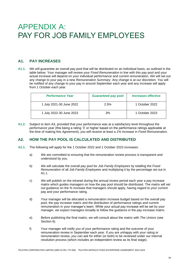## APPENDIX A: PAY FOR JOB FAMILY EMPLOYEES

## **A1. PAY INCREASES**

**A1.1.** *We* will guarantee an overall pay pool that will be distributed on an individual basis, as outlined in the table below. Your manager will review your *Fixed Remuneration* in line with this pay pool and your actual increase will depend on your individual performance and current remuneration. *We* will set out any change to your pay in a new *Remuneration Summary*. Any change is at *our* discretion. *You* will be notified of any change to your pay in around September each year and any increase will apply from 1 October each year.

| <b>Performance Year</b>  | <b>Guaranteed pay pool</b> | Increases effective |
|--------------------------|----------------------------|---------------------|
| 1 July 2021-30 June 2022 | 2.5%                       | 1 October 2022      |
| 1 July 2022-30 June 2023 | 3%                         | 1 October 2023      |

**A1.2.** Subject to item A3, provided that your performance was at a satisfactory level throughout the *performance year* (this being a rating '3' or higher based on the performance ratings applicable at the time of making this *Agreement*), *you* will receive at least a 1% increase in *Fixed Remuneration*.

## **A2. HOW THE PAY POOL IS CALCULATED AND DISTRIBUTED**

- **A2.1.** The following will apply for the 1 October 2022 and 1 October 2023 increases:
	- a) *We* are committed to ensuring that the remuneration review process is transparent and understood by *you*.
	- b) *We* will calculate the overall pay pool for *Job Family Employees* by totalling the *Fixed Remuneration* of all *Job Family Employees* and multiplying it by the percentage set out in A1.1.
	- c) *We* will publish on the intranet during the annual review period each year a pay increase matrix which guides managers on how the pay pool should be distributed. The matrix will set out guidance on the % increase that managers should apply, having regard to your current pay and your performance rating.
	- d) Your manager will be allocated a remuneration increase budget based on the overall pay pool, the pay increase matrix and the distribution of performance ratings and current remuneration in your manager's team. While your actual pay increase will be set by your manager, *we* expect managers broadly to follow the guidance in the pay increase matrix.
	- e) Before publishing the final matrix, *we* will consult about the matrix with *The Unions* (see Section 6).
	- f) Your manager will notify *you* of your performance rating and the outcome of your remuneration review in September each year. If *you* are unhappy with your rating or remuneration review, *you* can ask for either (or both) to be reviewed under *our* internal resolution process (which includes an independent review as its final stage).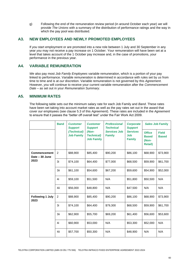g) Following the end of the remuneration review period (in around October each year) *we* will provide *The Unions* with a summary of the distribution of performance ratings and the way in which the pay pool was distributed.

### **A3. NEW EMPLOYEES AND NEWLY PROMOTED EMPLOYEES**

If *you* start employment or are promoted into a new role between 1 July and 30 September in any year *you* may not receive a pay increase on 1 October. Your remuneration will have been set at a level that takes account of the 1 October pay increase and, in the case of promotions, your performance in the previous year.

## **A4. VARIABLE REMUNERATION**

*We* also pay most *Job Family Employees* variable remuneration, which is a portion of your pay linked to performance. Variable remuneration is determined in accordance with rules set by *us* from time to time and is at *our* discretion. Variable remuneration is not governed by this *Agreement*. However, *you* will continue to receive your current variable remuneration after the *Commencement Date* – as set out in your *Remuneration Summary*.

## **A5. MINIMUM RATES**

The following table sets out the minimum salary rate for each Job Family and *Band*. These rates have been set taking into account market rates as well as the pay rates set out in the award that cover *our* employees (see clause 5.3 of this *Agreement*). These rates are included in the *Agreement*  to ensure that it passes the "better off overall test" under the Fair Work Act 2009.

|                                       | <b>Band</b>    | <b>Customer</b><br><b>Support</b> | <b>Customer</b><br><b>Support</b>               | <b>Professional</b><br><b>Technical</b> | <b>Corporate</b><br><b>Support</b><br><b>Services</b><br>Job<br>Family | <b>Sales Job Family</b>                                  |                              |
|---------------------------------------|----------------|-----------------------------------|-------------------------------------------------|-----------------------------------------|------------------------------------------------------------------------|----------------------------------------------------------|------------------------------|
|                                       |                | (Technical)<br><b>Job Family</b>  | (Non-<br><b>Technical)</b><br><b>Job Family</b> | <b>Services Job</b><br><b>Family</b>    |                                                                        | <b>Office</b><br><b>Based</b><br>(Non-<br><b>Retail)</b> | <b>Field</b><br><b>Based</b> |
| <b>Commencement</b><br>Date - 30 June | $\overline{2}$ | \$88,900                          | \$85,400                                        | \$90,200                                | \$86,100                                                               | \$68,900                                                 | \$73,900                     |
| 2023                                  | 3i             | \$74,100                          | \$64,400                                        | \$77,000                                | \$68,500                                                               | \$59,900                                                 | \$61,700                     |
|                                       | 3ii            | \$61,100                          | \$54,600                                        | \$67,200                                | \$59,600                                                               | \$54,900                                                 | \$52,000                     |
|                                       | 4i             | \$59,100                          | \$51,500                                        | N/A                                     | \$51,800                                                               | \$50,500                                                 | N/A                          |
|                                       | 4ii            | \$56,000                          | \$48,800                                        | N/A                                     | \$47,500                                                               | N/A                                                      | N/A                          |
| <b>Following 1 July</b><br>2023       | $\overline{2}$ | \$88,900                          | \$85,400                                        | \$90,200                                | \$86,100                                                               | \$68,900                                                 | \$73,900                     |
|                                       | 3i             | \$74,100                          | \$64,400                                        | \$79,300                                | \$68,500                                                               | \$59,900                                                 | \$61,700                     |
|                                       | 3ii            | \$62,900                          | \$55,700                                        | \$69,200                                | \$61,400                                                               | \$56,600                                                 | \$53,600                     |
|                                       | 4i             | \$60,900                          | \$53,000                                        | N/A                                     | \$53,300                                                               | \$52,000                                                 | N/A                          |
|                                       | 4ii            | \$57,700                          | \$50,300                                        | N/A                                     | \$48,900                                                               | N/A                                                      | N/A                          |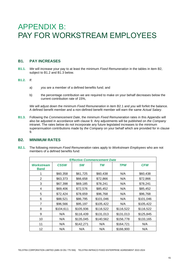## APPENDIX B: PAY FOR WORKSTREAM EMPLOYEES

## **B1. PAY INCREASES**

**B1.1.** *We* will increase your pay to at least the minimum *Fixed Remuneration* in the tables in item B2, subject to B1.2 and B1.3 below.

#### **B1.2.** If:

- a) *you* are a member of a defined benefits fund; and
- b) the percentage contribution *we* are required to make on your behalf decreases below the current contribution rate of 15%,

*We* will adjust down the minimum *Fixed Remuneration* in item B2.1 and *you* will forfeit the balance. A defined benefit member and a non-defined benefit member will earn the same *Actual Salary*.

**B1.3.** Following the *Commencement Date*, the minimum *Fixed Remuneration* rates in this Appendix will also be adjusted in accordance with clause 9. Any adjustments will be published on *the Company* intranet. The rates below do not incorporate any future legislated increases to the minimum superannuation contributions made by *the Company* on your behalf which are provided for in clause 9.

## **B2. MINIMUM RATES**

**B2.1.** The following minimum *Fixed Remuneration* rates apply to *Workstream Employees* who are not members of a defined benefits fund:

| <b>Effective Commencement Date</b> |             |           |           |            |            |  |
|------------------------------------|-------------|-----------|-----------|------------|------------|--|
| Workstream<br>Band                 | <b>CSSW</b> | <b>SW</b> | TW        | <b>TPW</b> | <b>CFW</b> |  |
| 1                                  | \$60,358    | \$61,725  | \$60,438  | N/A        | \$60,438   |  |
| 2                                  | \$63,373    | \$66,658  | \$72,866  | N/A        | \$72,866   |  |
| 3                                  | \$67,398    | \$69,185  | \$78,241  | N/A        | \$78,241   |  |
| 4                                  | \$69,406    | \$72,576  | \$85,452  | N/A        | \$85,452   |  |
| 5                                  | \$72,424    | \$78,659  | \$96,768  | N/A        | \$96,768   |  |
| 6                                  | \$88,521    | \$86,795  | \$101,046 | N/A        | \$101,046  |  |
| 7                                  | \$96,566    | \$95,197  | \$105,422 | N/A        | \$105,422  |  |
| 8                                  | \$104,611   | \$105,936 | \$116,522 | \$116,522  | \$116,522  |  |
| 9                                  | N/A         | \$116,439 | \$131,013 | \$131,013  | \$125,845  |  |
| 10                                 | N/A         | \$135,045 | \$140,562 | \$156,778  | \$133,165  |  |
| 11                                 | N/A         | \$142,271 | N/A       | \$164,721  | N/A        |  |
| 12                                 | N/A         | N/A       | N/A       | \$166,900  | N/A        |  |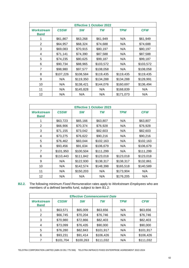| <b>Effective 1 October 2022</b>  |             |           |           |            |            |  |
|----------------------------------|-------------|-----------|-----------|------------|------------|--|
| <b>Workstream</b><br><b>Band</b> | <b>CSSW</b> | <b>SW</b> | TW        | <b>TPW</b> | <b>CFW</b> |  |
|                                  | \$61,867    | \$63,268  | \$61,949  | N/A        | \$61,949   |  |
| 2                                | \$64,957    | \$68,324  | \$74,688  | N/A        | \$74,688   |  |
| 3                                | \$69,083    | \$70,915  | \$80,197  | N/A        | \$80,197   |  |
| 4                                | \$71,141    | \$74,390  | \$87,588  | N/A        | \$87,588   |  |
| 5                                | \$74,235    | \$80,625  | \$99,187  | N/A        | \$99,187   |  |
| 6                                | \$90,734    | \$88,965  | \$103,572 | N/A        | \$103,572  |  |
| 7                                | \$98,980    | \$97,577  | \$108,058 | N/A        | \$108,058  |  |
| 8                                | \$107,226   | \$108,584 | \$119,435 | \$119,435  | \$119,435  |  |
| 9                                | N/A         | \$119,350 | \$134,288 | \$134,288  | \$128,991  |  |
| 10                               | N/A         | \$138,421 | \$144,076 | \$160,697  | \$136,494  |  |
| 11                               | N/A         | \$145,828 | N/A       | \$168,839  | N/A        |  |
| 12                               | N/A         | N/A       | N/A       | \$171,073  | N/A        |  |

| <b>Effective 1 October 2023</b> |             |           |           |            |            |  |
|---------------------------------|-------------|-----------|-----------|------------|------------|--|
| <b>Workstream</b><br>Band       | <b>CSSW</b> | <b>SW</b> | TW        | <b>TPW</b> | <b>CFW</b> |  |
| 1                               | \$63,723    | \$65,166  | \$63,807  | N/A        | \$63,807   |  |
| 2                               | \$66,906    | \$70,374  | \$76,928  | N/A        | \$76,928   |  |
| 3                               | \$71,155    | \$73,042  | \$82,603  | N/A        | \$82,603   |  |
| 4                               | \$73,275    | \$76,622  | \$90,216  | N/A        | \$90,216   |  |
| 5                               | \$76,462    | \$83,044  | \$102,163 | N/A        | \$102,163  |  |
| 6                               | \$93,456    | \$91,634  | \$106,679 | N/A        | \$106,679  |  |
| 7                               | \$101,950   | \$100,504 | \$111,299 | N/A        | \$111,299  |  |
| 8                               | \$110,443   | \$111,842 | \$123,018 | \$123,018  | \$123,018  |  |
| 9                               | N/A         | \$122,930 | \$138,317 | \$138,317  | \$132,861  |  |
| 10                              | N/A         | \$142,574 | \$148,398 | \$165,518  | \$140,589  |  |
| 11                              | N/A         | \$150,203 | N/A       | \$173,904  | N/A        |  |
| 12                              | N/A         | N/A       | N/A       | \$176,205  | N/A        |  |

**B2.2.** The following minimum *Fixed Remuneration* rates apply to *Workstream Employees* who are members of a defined benefits fund, subject to item B1.2:

| <b>Effective Commencement Date</b> |             |           |           |            |            |  |
|------------------------------------|-------------|-----------|-----------|------------|------------|--|
| <b>Workstream</b><br><b>Band</b>   | <b>CSSW</b> | <b>SW</b> | <b>TW</b> | <b>TPW</b> | <b>CFW</b> |  |
| 1                                  | \$63,571    | \$65,009  | \$63,656  | N/A        | \$63,656   |  |
| 2                                  | \$66,745    | \$70,204  | \$76,746  | N/A        | \$76,746   |  |
| 3                                  | \$70,980    | \$72,866  | \$82,403  | N/A        | \$82,403   |  |
| $\overline{4}$                     | \$73,099    | \$76,435  | \$90,000  | N/A        | \$90,000   |  |
| 5                                  | \$76,280    | \$82,843  | \$101,917 | N/A        | \$101,917  |  |
| 6                                  | \$93,231    | \$91,414  | \$106,426 | N/A        | \$106,426  |  |
| 7                                  | \$101,704   | \$100,263 | \$111,032 | N/A        | \$111,032  |  |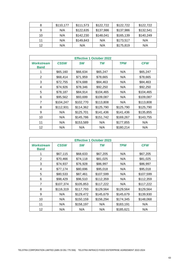| 8  | \$110,177 | \$111,573 | \$122,722 | \$122,722 | \$122,722 |
|----|-----------|-----------|-----------|-----------|-----------|
| 9  | N/A       | \$122,635 | \$137,986 | \$137,986 | \$132,541 |
| 10 | N/A       | \$142,230 | \$148,041 | \$165,139 | \$140,249 |
| 11 | N/A       | \$149,843 | N/A       | \$173,517 | N/A       |
| 12 | N/A       | N/A       | N/A       | \$175,819 | N/A       |

| <b>Effective 1 October 2022</b> |             |           |           |            |            |  |
|---------------------------------|-------------|-----------|-----------|------------|------------|--|
| <b>Workstream</b><br>Band       | <b>CSSW</b> | <b>SW</b> | TW        | <b>TPW</b> | <b>CFW</b> |  |
| 1                               | \$65,160    | \$66,634  | \$65,247  | N/A        | \$65,247   |  |
| 2                               | \$68,414    | \$71,959  | \$78,665  | N/A        | \$78,665   |  |
| 3                               | \$72,755    | \$74,688  | \$84,463  | N/A        | \$84,463   |  |
| 4                               | \$74,926    | \$78,346  | \$92,250  | N/A        | \$92,250   |  |
| 5                               | \$78,187    | \$84,914  | \$104,465 | N/A        | \$104,465  |  |
| 6                               | \$95,562    | \$93,699  | \$109,087 | N/A        | \$109,087  |  |
| $\overline{7}$                  | \$104,247   | \$102,770 | \$113,808 | N/A        | \$113,808  |  |
| 8                               | \$112,931   | \$114,362 | \$125,790 | \$125,790  | \$125,790  |  |
| 9                               | N/A         | \$125,701 | \$141,436 | \$141,436  | \$135,855  |  |
| 10                              | N/A         | \$145,786 | \$151,742 | \$169,267  | \$143,755  |  |
| 11                              | N/A         | \$153,589 | N/A       | \$177,855  | N/A        |  |
| 12                              | N/A         | N/A       | N/A       | \$180,214  | N/A        |  |

| <b>Effective 1 October 2023</b> |             |           |           |            |            |  |
|---------------------------------|-------------|-----------|-----------|------------|------------|--|
| Workstream<br>Band              | <b>CSSW</b> | <b>SW</b> | TW        | <b>TPW</b> | <b>CFW</b> |  |
| 1                               | \$67,115    | \$68,633  | \$67,205  | N/A        | \$67,205   |  |
| 2                               | \$70,466    | \$74,118  | \$81,025  | N/A        | \$81,025   |  |
| 3                               | \$74,937    | \$76,928  | \$86,997  | N/A        | \$86,997   |  |
| 4                               | \$77,174    | \$80,696  | \$95,018  | N/A        | \$95,018   |  |
| 5                               | \$80,533    | \$87,461  | \$107,599 | N/A        | \$107,599  |  |
| 6                               | \$98,429    | \$96,510  | \$112,359 | N/A        | \$112,359  |  |
| $\overline{7}$                  | \$107,374   | \$105,853 | \$117,222 | N/A        | \$117,222  |  |
| 8                               | \$116,319   | \$117,793 | \$129,564 | \$129,564  | \$129,564  |  |
| 9                               | N/A         | \$129,472 | \$145,679 | \$145,679  | \$139,930  |  |
| 10                              | N/A         | \$150,159 | \$156,294 | \$174,345  | \$148,068  |  |
| 11                              | N/A         | \$158,197 | N/A       | \$183,191  | N/A        |  |
| 12                              | N/A         | N/A       | N/A       | \$185,621  | N/A        |  |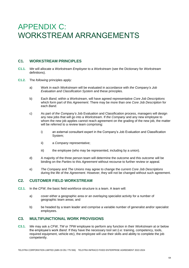## APPENDIX C: WORKSTREAM ARRANGEMENTS

## **C1. WORKSTREAM PRINCIPLES**

- **C1.1.** *We* will allocate a *Workstream Employee* to a *Workstream* (see the Dictionary for *Workstream*  definitions).
- **C1.2.** The *following* principles apply:
	- a) Work in each *Workstream* will be evaluated in accordance with *the Company's Job Evaluation and Classification System* and these principles.
	- b) Each *Band*, within a *Workstream*, will have agreed representative *Core Job Descriptions* which form part of this *Agreement*. There may be more than one *Core Job Description* for each *Band*.
	- c) As part of *the Company's* Job Evaluation and Classification process, managers will design any new jobs that will go into a *Workstream*. If *the Company* and any new employee to whom the new job applies cannot reach agreement on the grading of the new job, the matter will be referred to a review team comprising:
		- i) an external consultant expert in the Company's Job Evaluation and Classification System;
		- ii) a *Company* representative;
		- iii) the employee (who may be represented, including by a union).
	- d) A majority of the three person team will determine the outcome and this outcome will be binding on the *Parties* to this *Agreement* without recourse to further review or appeal.
	- e) *The Company* and *The Unions* may agree to change the current *Core Job Descriptions* during the life of the *Agreement*. However, they will not be changed without such agreement.

## **C2. CUSTOMER FIELD WORKSTREAM**

- **C2.1.** In the *CFW*, the basic field workforce structure is a team. A team will:
	- a) cover either a geographic area or an overlaying specialist activity for a number of geographic team areas; and
	- b) be headed by a team leader and comprise a variable number of generalist and/or specialist employees.

### **C3. MULTIFUNCTIONAL WORK PROVISIONS**

**C3.1.** *We* may ask a *CFW*, *TW* or *TPW* employee to perform any function in their *Workstream* at or below the employee's work *Band*. If they have the necessary tool set (i.e: training, competency, tools, required equipment, vehicle etc), the employee will use their skills and ability to complete the job competently.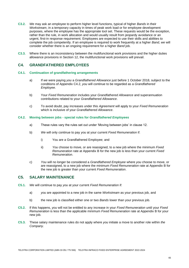- **C3.2.** *We* may ask an employee to perform higher level functions, typical of higher *Bands* in their *Workstream*, in a temporary capacity in times of peak work load or for employee development purposes, where the employee has the appropriate tool set. These requests would be the exception, rather than the rule, in work allocation and would usually result from jeopardy avoidance or an urgent, first-in response requirement. Employees are expected to use their skills and abilities to complete the job competently. If an employee is required to work frequently at a higher *Band*, *we* will consider whether there is an ongoing requirement for a higher *Band* job.
- **C3.3.** Where there is an inconsistency between the multifunctional work provisions and the higher duties allowance provisions in Section 12, the multifunctional work provisions will prevail.

## **C4. GRANDFATHERED EMPLOYEES**

#### **C4.1. Continuation of grandfathering arrangements**

- a) If *we* were paying *you* a *Grandfathered Allowance* just before 1 October 2018, subject to the conditions of Appendix C4.2, *you* will continue to be regarded as a *Grandfathered Employee*.
- b) Your *Fixed Remuneration* includes your *Grandfathered Allowance* and superannuation contributions related to your *Grandfathered Allowance*.
- c) To avoid doubt, pay increases under this *Agreement* will apply to your *Fixed Remuneration*  which is inclusive of your *Grandfathered Allowance*.

#### **C4.2. Moving between jobs - special rules for** *Grandfathered Employees*

- a) These rules vary the rules set out under 'Moving between jobs' in clause 12.
- b) *We* will only continue to pay *you* at your current *Fixed Remuneration* if:
	- i) You are a Grandfathered Employee; and
	- ii) *You* choose to move, or are reassigned, to a new job where the minimum *Fixed Remuneration* rate at Appendix B for the new job is less than your current *Fixed Remuneration*.
- c) *You* will no longer be considered a *Grandfathered Employee* where *you* choose to move, or are reassigned, to a new job where the minimum *Fixed Remuneration* rate at Appendix B for the new job is greater than your current *Fixed Remuneration*.

## **C5. SALARY MAINTENANCE**

- **C5.1.** *We* will continue to pay *you* at your current *Fixed Remuneration* if:
	- a) *you* are appointed to a new job in the same *Workstream* as your previous job, and
	- b) the new job is classified either one or two *Bands* lower than your previous job.
- **C5.2.** If this happens, *you* will not be entitled to any increase in your *Fixed Remuneration* until your *Fixed Remuneration* is less than the applicable minimum *Fixed Remuneration* rate at Appendix B for your new job.
- **C5.3.** These salary maintenance rules do not apply where *you* initiate a move to another role within *the Company*.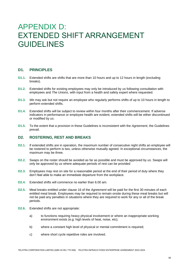## APPENDIX D: EXTENDED SHIFT ARRANGEMENT GUIDELINES

## **D1. PRINCIPLES**

- **D1.1.** Extended shifts are shifts that are more than 10 hours and up to 12 hours in length (excluding breaks).
- **D1.2.** Extended shifts for existing employees may only be introduced by *us* following consultation with employees and *The Unions*, with input from a health and safety expert where requested.
- **D1.3.** *We* may ask but not require an employee who regularly performs shifts of up to 10 hours in length to perform extended shifts.
- **D1.4.** Extended shifts will be subject to review within four months after their commencement. If adverse indicators in performance or employee health are evident, extended shifts will be either discontinued or modified by *us*.
- **D1.5.** To the extent that a provision in these Guidelines is inconsistent with the *Agreement*, the Guidelines prevail.

## **D2. ROSTERING, REST AND BREAKS**

- **D2.1.** If extended shifts are in operation, the maximum number of consecutive night shifts an employee will be rostered to perform is two, unless otherwise mutually agreed. In exceptional circumstances, the maximum may be three.
- **D2.2.** Swaps on the roster should be avoided as far as possible and must be approved by *us*. Swaps will only be approved by *us* where adequate periods of rest can be provided
- **D2.3.** Employees may rest on site for a reasonable period at the end of their period of duty where they don't feel able to make an immediate departure from the workplace.
- **D2.4.** Extended shifts will commence no earlier than 6.00 am.
- **D2.5.** Meal breaks entitled under clause 16 of the *Agreement* will be paid for the first 30 minutes of each entitled meal break. Employees may be required to remain onsite during these meal breaks but will not be paid any penalties in situations where they are required to work for any or all of the break periods.
- **D2.6.** Extended shifts are not appropriate:
	- a) to functions requiring heavy physical involvement or where an inappropriate working environment exists (e.g: high levels of heat, noise, etc);
	- b) where a constant high level of physical or mental commitment is required;
	- c) where short cycle repetitive roles are involved.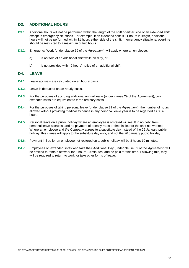## **D3. ADDITIONAL HOURS**

- **D3.1.** Additional hours will not be performed within the length of the shift or either side of an extended shift, except in emergency situations. For example, if an extended shift is 11 hours in length, additional hours will not be performed within 11 hours either side of the shift. In emergency situations, overtime should be restricted to a maximum of two hours.
- **D3.2.** Emergency Work (under clause 69 of the *Agreement*) will apply where an employee:
	- a) is not told of an additional shift while on duty, or
	- b) is not provided with 12 hours' notice of an additional shift.

## **D4. LEAVE**

- **D4.1.** Leave accruals are calculated on an hourly basis.
- **D4.2.** Leave is deducted on an hourly basis.
- **D4.3.** For the purposes of accruing additional annual leave (under clause 29 of the *Agreement*), two extended shifts are equivalent to three ordinary shifts.
- **D4.4.** For the purposes of taking personal leave (under clause 31 of the *Agreement*), the number of hours allowed without providing medical evidence in any personal leave year is to be regarded as 36¾ hours.
- **D4.5.** Personal leave on a public holiday where an employee is rostered will result in no debit from personal leave accruals, and no payment of penalty rates or time in lieu for the shift not worked. Where an employee and *the Company* agrees to a substitute day instead of the 26 January public holiday, this clause will apply to the substitute day only, and not the 26 January public holiday.
- **D4.6.** Payment in lieu for an employee not rostered on a public holiday will be 8 hours 10 minutes.
- **D4.7.** Employees on extended shifts who take their Additional Day (under clause 39 of the *Agreement*) will be entitled to remain off work for 8 hours 10 minutes, and be paid for this time. Following this, they will be required to return to work, or take other forms of leave.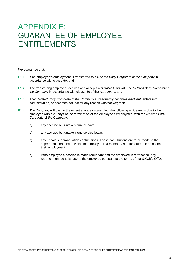## APPENDIX E: GUARANTEE OF EMPLOYEE ENTITLEMENTS

*We* guarantee that:

- **E1.1.** If an employee's employment is transferred to a *Related Body Corporate* of *the Company* in accordance with clause 50; and
- **E1.2.** The transferring employee receives and accepts a *Suitable Offer* with the *Related Body Corporate* of *the Company* in accordance with clause 50 of the *Agreement*; and
- **E1.3.** That *Related Body Corporate* of *the Company* subsequently becomes *insolvent*, enters into administration, or becomes defunct for any reason whatsoever; then
- **E1.4.** *The Company* will pay, to the extent any are outstanding, the following entitlements due to the employee within 28 days of the termination of the employee's employment with the *Related Body Corporate* of *the Company*:
	- a) any accrued but untaken annual leave;
	- b) any accrued but untaken long service leave;
	- c) any unpaid superannuation contributions. These contributions are to be made to the superannuation fund to which the employee is a member as at the date of termination of their employment;
	- d) if the employee's position is made redundant and the employee is retrenched, any retrenchment benefits due to the employee pursuant to the terms of the *Suitable Offer*.